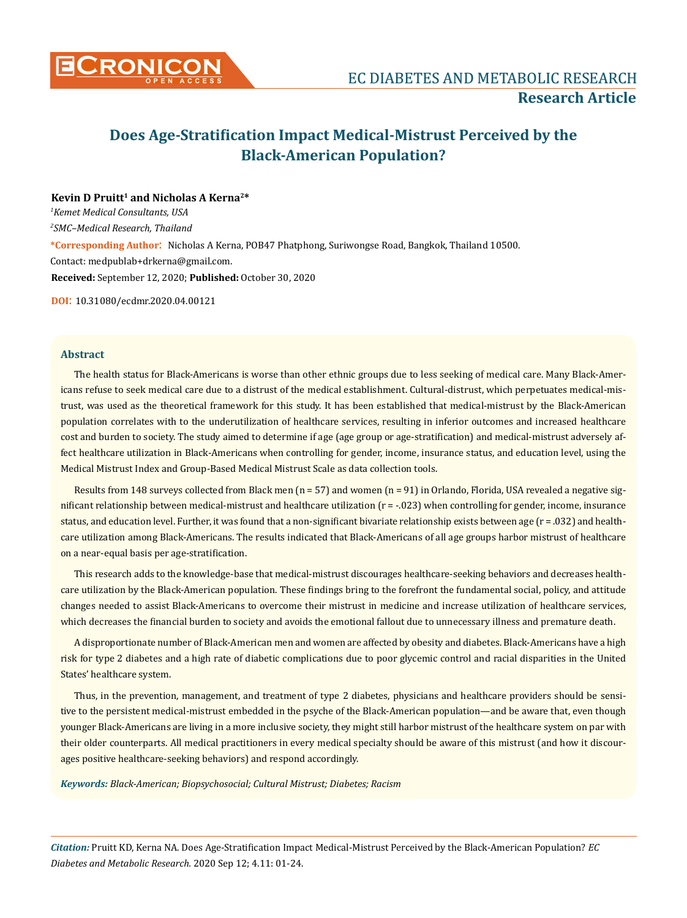

# **Does Age-Stratification Impact Medical-Mistrust Perceived by the Black-American Population?**

# Kevin D Pruitt<sup>1</sup> and Nicholas A Kerna<sup>2\*</sup>

*1 Kemet Medical Consultants, USA 2 SMC–Medical Research, Thailand* **\*Corresponding Author**: Nicholas A Kerna, POB47 Phatphong, Suriwongse Road, Bangkok, Thailand 10500. Contact: medpublab+drkerna@gmail.com. **Received:** September 12, 2020; **Published:** October 30, 2020

**DOI**: 10.31080/ecdmr.2020.04.00121

# **Abstract**

The health status for Black-Americans is worse than other ethnic groups due to less seeking of medical care. Many Black-Americans refuse to seek medical care due to a distrust of the medical establishment. Cultural-distrust, which perpetuates medical-mistrust, was used as the theoretical framework for this study. It has been established that medical-mistrust by the Black-American population correlates with to the underutilization of healthcare services, resulting in inferior outcomes and increased healthcare cost and burden to society. The study aimed to determine if age (age group or age-stratification) and medical-mistrust adversely affect healthcare utilization in Black-Americans when controlling for gender, income, insurance status, and education level, using the Medical Mistrust Index and Group-Based Medical Mistrust Scale as data collection tools.

Results from 148 surveys collected from Black men ( $n = 57$ ) and women ( $n = 91$ ) in Orlando, Florida, USA revealed a negative significant relationship between medical-mistrust and healthcare utilization (r = -.023) when controlling for gender, income, insurance status, and education level. Further, it was found that a non-significant bivariate relationship exists between age (r = .032) and healthcare utilization among Black-Americans. The results indicated that Black-Americans of all age groups harbor mistrust of healthcare on a near-equal basis per age-stratification.

This research adds to the knowledge-base that medical-mistrust discourages healthcare-seeking behaviors and decreases healthcare utilization by the Black-American population. These findings bring to the forefront the fundamental social, policy, and attitude changes needed to assist Black-Americans to overcome their mistrust in medicine and increase utilization of healthcare services, which decreases the financial burden to society and avoids the emotional fallout due to unnecessary illness and premature death.

A disproportionate number of Black-American men and women are affected by obesity and diabetes. Black-Americans have a high risk for type 2 diabetes and a high rate of diabetic complications due to poor glycemic control and racial disparities in the United States' healthcare system.

Thus, in the prevention, management, and treatment of type 2 diabetes, physicians and healthcare providers should be sensitive to the persistent medical-mistrust embedded in the psyche of the Black-American population—and be aware that, even though younger Black-Americans are living in a more inclusive society, they might still harbor mistrust of the healthcare system on par with their older counterparts. All medical practitioners in every medical specialty should be aware of this mistrust (and how it discourages positive healthcare-seeking behaviors) and respond accordingly.

*Keywords: Black-American; Biopsychosocial; Cultural Mistrust; Diabetes; Racism*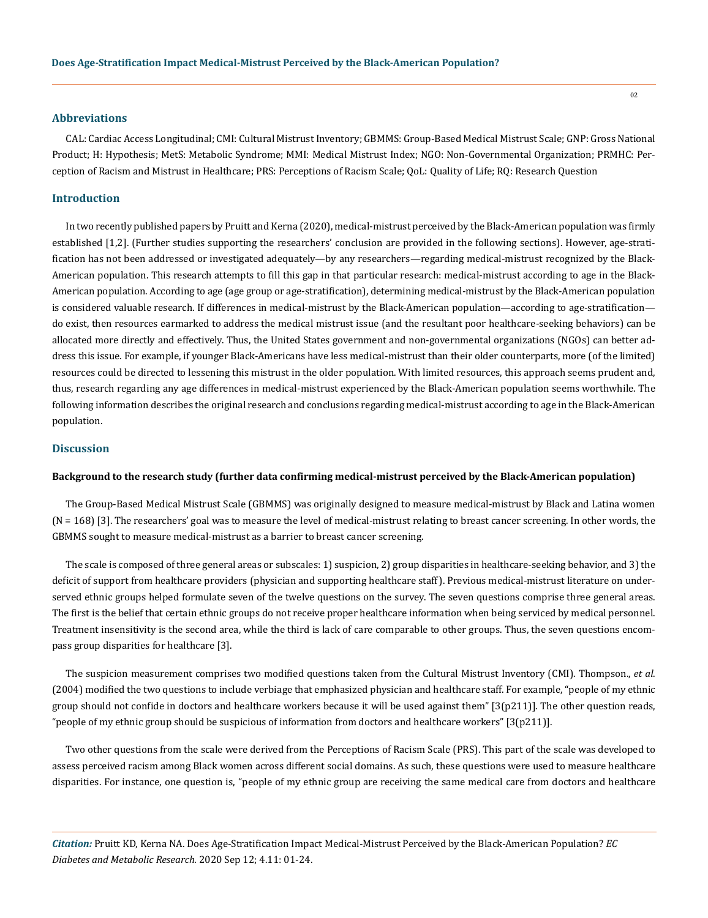#### **Abbreviations**

CAL: Cardiac Access Longitudinal; CMI: Cultural Mistrust Inventory; GBMMS: Group-Based Medical Mistrust Scale; GNP: Gross National Product; H: Hypothesis; MetS: Metabolic Syndrome; MMI: Medical Mistrust Index; NGO: Non-Governmental Organization; PRMHC: Perception of Racism and Mistrust in Healthcare; PRS: Perceptions of Racism Scale; QoL: Quality of Life; RQ: Research Question

## **Introduction**

In two recently published papers by Pruitt and Kerna (2020), medical-mistrust perceived by the Black-American population was firmly established [1,2]. (Further studies supporting the researchers' conclusion are provided in the following sections). However, age-stratification has not been addressed or investigated adequately—by any researchers—regarding medical-mistrust recognized by the Black-American population. This research attempts to fill this gap in that particular research: medical-mistrust according to age in the Black-American population. According to age (age group or age-stratification), determining medical-mistrust by the Black-American population is considered valuable research. If differences in medical-mistrust by the Black-American population—according to age-stratification do exist, then resources earmarked to address the medical mistrust issue (and the resultant poor healthcare-seeking behaviors) can be allocated more directly and effectively. Thus, the United States government and non-governmental organizations (NGOs) can better address this issue. For example, if younger Black-Americans have less medical-mistrust than their older counterparts, more (of the limited) resources could be directed to lessening this mistrust in the older population. With limited resources, this approach seems prudent and, thus, research regarding any age differences in medical-mistrust experienced by the Black-American population seems worthwhile. The following information describes the original research and conclusions regarding medical-mistrust according to age in the Black-American population.

# **Discussion**

## **Background to the research study (further data confirming medical-mistrust perceived by the Black-American population)**

The Group-Based Medical Mistrust Scale (GBMMS) was originally designed to measure medical-mistrust by Black and Latina women (N = 168) [3]. The researchers' goal was to measure the level of medical-mistrust relating to breast cancer screening. In other words, the GBMMS sought to measure medical-mistrust as a barrier to breast cancer screening.

The scale is composed of three general areas or subscales: 1) suspicion, 2) group disparities in healthcare-seeking behavior, and 3) the deficit of support from healthcare providers (physician and supporting healthcare staff). Previous medical-mistrust literature on underserved ethnic groups helped formulate seven of the twelve questions on the survey. The seven questions comprise three general areas. The first is the belief that certain ethnic groups do not receive proper healthcare information when being serviced by medical personnel. Treatment insensitivity is the second area, while the third is lack of care comparable to other groups. Thus, the seven questions encompass group disparities for healthcare [3].

The suspicion measurement comprises two modified questions taken from the Cultural Mistrust Inventory (CMI). Thompson., *et al*. (2004) modified the two questions to include verbiage that emphasized physician and healthcare staff. For example, "people of my ethnic group should not confide in doctors and healthcare workers because it will be used against them" [3(p211)]. The other question reads, "people of my ethnic group should be suspicious of information from doctors and healthcare workers" [3(p211)].

Two other questions from the scale were derived from the Perceptions of Racism Scale (PRS). This part of the scale was developed to assess perceived racism among Black women across different social domains. As such, these questions were used to measure healthcare disparities. For instance, one question is, "people of my ethnic group are receiving the same medical care from doctors and healthcare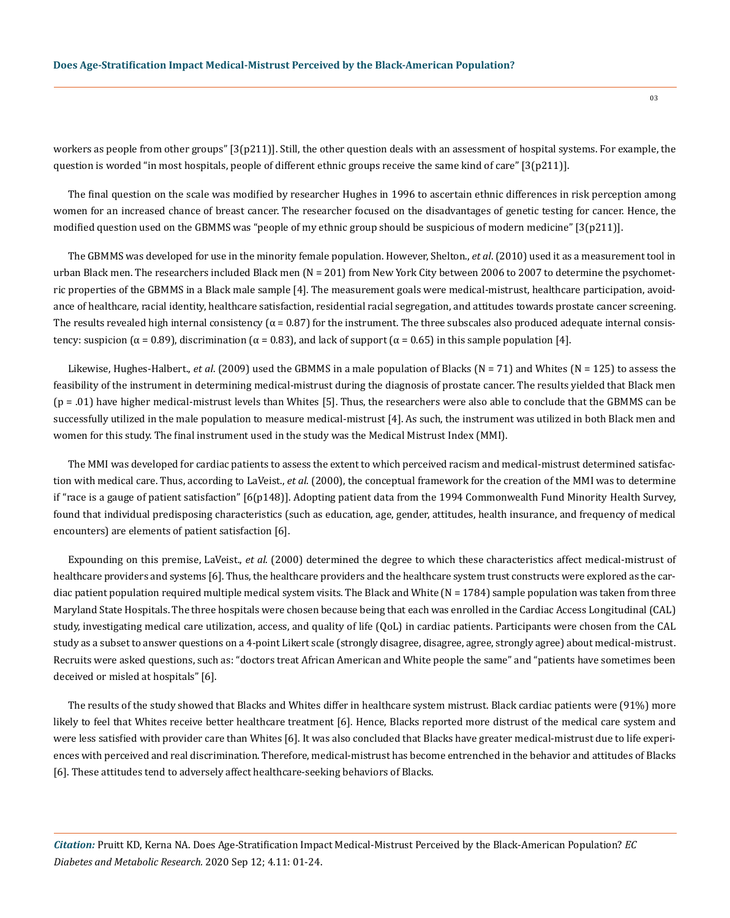workers as people from other groups" [3(p211)]. Still, the other question deals with an assessment of hospital systems. For example, the question is worded "in most hospitals, people of different ethnic groups receive the same kind of care" [3(p211)].

The final question on the scale was modified by researcher Hughes in 1996 to ascertain ethnic differences in risk perception among women for an increased chance of breast cancer. The researcher focused on the disadvantages of genetic testing for cancer. Hence, the modified question used on the GBMMS was "people of my ethnic group should be suspicious of modern medicine" [3(p211)].

The GBMMS was developed for use in the minority female population. However, Shelton., *et al*. (2010) used it as a measurement tool in urban Black men. The researchers included Black men (N = 201) from New York City between 2006 to 2007 to determine the psychometric properties of the GBMMS in a Black male sample [4]. The measurement goals were medical-mistrust, healthcare participation, avoidance of healthcare, racial identity, healthcare satisfaction, residential racial segregation, and attitudes towards prostate cancer screening. The results revealed high internal consistency ( $\alpha = 0.87$ ) for the instrument. The three subscales also produced adequate internal consistency: suspicion ( $\alpha$  = 0.89), discrimination ( $\alpha$  = 0.83), and lack of support ( $\alpha$  = 0.65) in this sample population [4].

Likewise, Hughes-Halbert., *et al.* (2009) used the GBMMS in a male population of Blacks (N = 71) and Whites (N = 125) to assess the feasibility of the instrument in determining medical-mistrust during the diagnosis of prostate cancer. The results yielded that Black men (p = .01) have higher medical-mistrust levels than Whites [5]. Thus, the researchers were also able to conclude that the GBMMS can be successfully utilized in the male population to measure medical-mistrust [4]. As such, the instrument was utilized in both Black men and women for this study. The final instrument used in the study was the Medical Mistrust Index (MMI).

The MMI was developed for cardiac patients to assess the extent to which perceived racism and medical-mistrust determined satisfaction with medical care. Thus, according to LaVeist., *et al*. (2000), the conceptual framework for the creation of the MMI was to determine if "race is a gauge of patient satisfaction" [6(p148)]. Adopting patient data from the 1994 Commonwealth Fund Minority Health Survey, found that individual predisposing characteristics (such as education, age, gender, attitudes, health insurance, and frequency of medical encounters) are elements of patient satisfaction [6].

Expounding on this premise, LaVeist., *et al*. (2000) determined the degree to which these characteristics affect medical-mistrust of healthcare providers and systems [6]. Thus, the healthcare providers and the healthcare system trust constructs were explored as the cardiac patient population required multiple medical system visits. The Black and White  $(N = 1784)$  sample population was taken from three Maryland State Hospitals. The three hospitals were chosen because being that each was enrolled in the Cardiac Access Longitudinal (CAL) study, investigating medical care utilization, access, and quality of life (QoL) in cardiac patients. Participants were chosen from the CAL study as a subset to answer questions on a 4-point Likert scale (strongly disagree, disagree, agree, strongly agree) about medical-mistrust. Recruits were asked questions, such as: "doctors treat African American and White people the same" and "patients have sometimes been deceived or misled at hospitals" [6].

The results of the study showed that Blacks and Whites differ in healthcare system mistrust. Black cardiac patients were (91%) more likely to feel that Whites receive better healthcare treatment [6]. Hence, Blacks reported more distrust of the medical care system and were less satisfied with provider care than Whites [6]. It was also concluded that Blacks have greater medical-mistrust due to life experiences with perceived and real discrimination. Therefore, medical-mistrust has become entrenched in the behavior and attitudes of Blacks [6]. These attitudes tend to adversely affect healthcare-seeking behaviors of Blacks.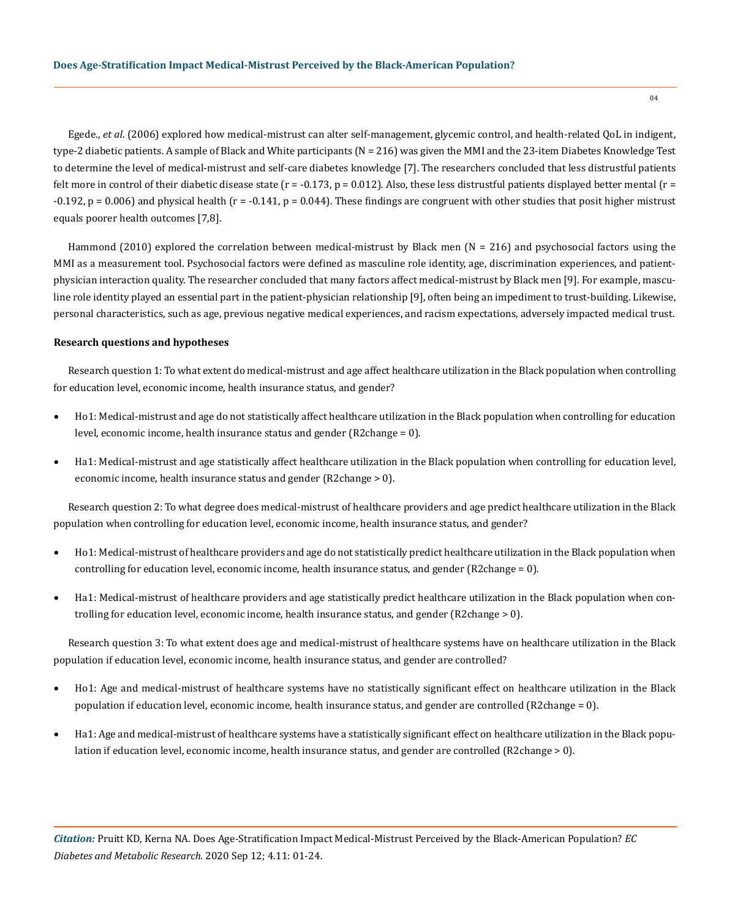Egede., *et al*. (2006) explored how medical-mistrust can alter self-management, glycemic control, and health-related QoL in indigent, type-2 diabetic patients. A sample of Black and White participants (N = 216) was given the MMI and the 23-item Diabetes Knowledge Test to determine the level of medical-mistrust and self-care diabetes knowledge [7]. The researchers concluded that less distrustful patients felt more in control of their diabetic disease state ( $r = -0.173$ ,  $p = 0.012$ ). Also, these less distrustful patients displayed better mental ( $r =$  $-0.192$ , p = 0.006) and physical health (r =  $-0.141$ , p = 0.044). These findings are congruent with other studies that posit higher mistrust equals poorer health outcomes [7,8].

Hammond (2010) explored the correlation between medical-mistrust by Black men (N = 216) and psychosocial factors using the MMI as a measurement tool. Psychosocial factors were defined as masculine role identity, age, discrimination experiences, and patientphysician interaction quality. The researcher concluded that many factors affect medical-mistrust by Black men [9]. For example, masculine role identity played an essential part in the patient-physician relationship [9], often being an impediment to trust-building. Likewise, personal characteristics, such as age, previous negative medical experiences, and racism expectations, adversely impacted medical trust.

# **Research questions and hypotheses**

Research question 1: To what extent do medical-mistrust and age affect healthcare utilization in the Black population when controlling for education level, economic income, health insurance status, and gender?

- Ho1: Medical-mistrust and age do not statistically affect healthcare utilization in the Black population when controlling for education level, economic income, health insurance status and gender (R2change = 0).
- Ha1: Medical-mistrust and age statistically affect healthcare utilization in the Black population when controlling for education level, economic income, health insurance status and gender (R2change > 0).

Research question 2: To what degree does medical-mistrust of healthcare providers and age predict healthcare utilization in the Black population when controlling for education level, economic income, health insurance status, and gender?

- Ho1: Medical-mistrust of healthcare providers and age do not statistically predict healthcare utilization in the Black population when controlling for education level, economic income, health insurance status, and gender (R2change = 0).
- Ha1: Medical-mistrust of healthcare providers and age statistically predict healthcare utilization in the Black population when controlling for education level, economic income, health insurance status, and gender (R2change > 0).

Research question 3: To what extent does age and medical-mistrust of healthcare systems have on healthcare utilization in the Black population if education level, economic income, health insurance status, and gender are controlled?

- Ho1: Age and medical-mistrust of healthcare systems have no statistically significant effect on healthcare utilization in the Black population if education level, economic income, health insurance status, and gender are controlled (R2change = 0).
- Ha1: Age and medical-mistrust of healthcare systems have a statistically significant effect on healthcare utilization in the Black population if education level, economic income, health insurance status, and gender are controlled (R2change > 0).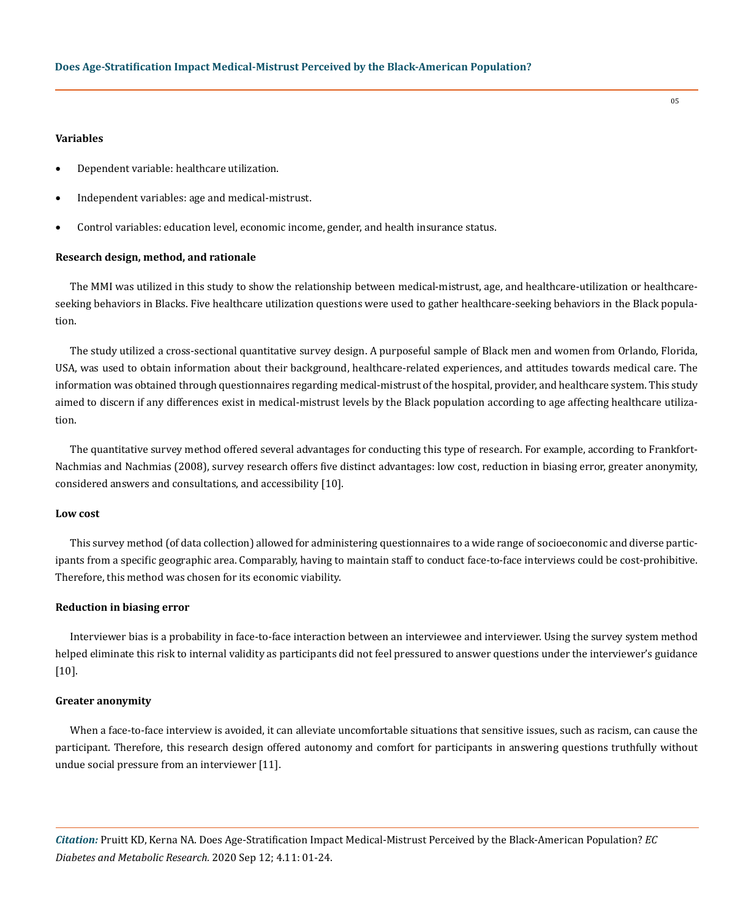# **Variables**

- Dependent variable: healthcare utilization.
- Independent variables: age and medical-mistrust.
- Control variables: education level, economic income, gender, and health insurance status.

#### **Research design, method, and rationale**

The MMI was utilized in this study to show the relationship between medical-mistrust, age, and healthcare-utilization or healthcareseeking behaviors in Blacks. Five healthcare utilization questions were used to gather healthcare-seeking behaviors in the Black population.

The study utilized a cross-sectional quantitative survey design. A purposeful sample of Black men and women from Orlando, Florida, USA, was used to obtain information about their background, healthcare-related experiences, and attitudes towards medical care. The information was obtained through questionnaires regarding medical-mistrust of the hospital, provider, and healthcare system. This study aimed to discern if any differences exist in medical-mistrust levels by the Black population according to age affecting healthcare utilization.

The quantitative survey method offered several advantages for conducting this type of research. For example, according to Frankfort-Nachmias and Nachmias (2008), survey research offers five distinct advantages: low cost, reduction in biasing error, greater anonymity, considered answers and consultations, and accessibility [10].

#### **Low cost**

This survey method (of data collection) allowed for administering questionnaires to a wide range of socioeconomic and diverse participants from a specific geographic area. Comparably, having to maintain staff to conduct face-to-face interviews could be cost-prohibitive. Therefore, this method was chosen for its economic viability.

# **Reduction in biasing error**

Interviewer bias is a probability in face-to-face interaction between an interviewee and interviewer. Using the survey system method helped eliminate this risk to internal validity as participants did not feel pressured to answer questions under the interviewer's guidance [10].

# **Greater anonymity**

When a face-to-face interview is avoided, it can alleviate uncomfortable situations that sensitive issues, such as racism, can cause the participant. Therefore, this research design offered autonomy and comfort for participants in answering questions truthfully without undue social pressure from an interviewer [11].

*Citation:* Pruitt KD, Kerna NA. Does Age-Stratification Impact Medical-Mistrust Perceived by the Black-American Population? *EC Diabetes and Metabolic Research.* 2020 Sep 12; 4.11: 01-24.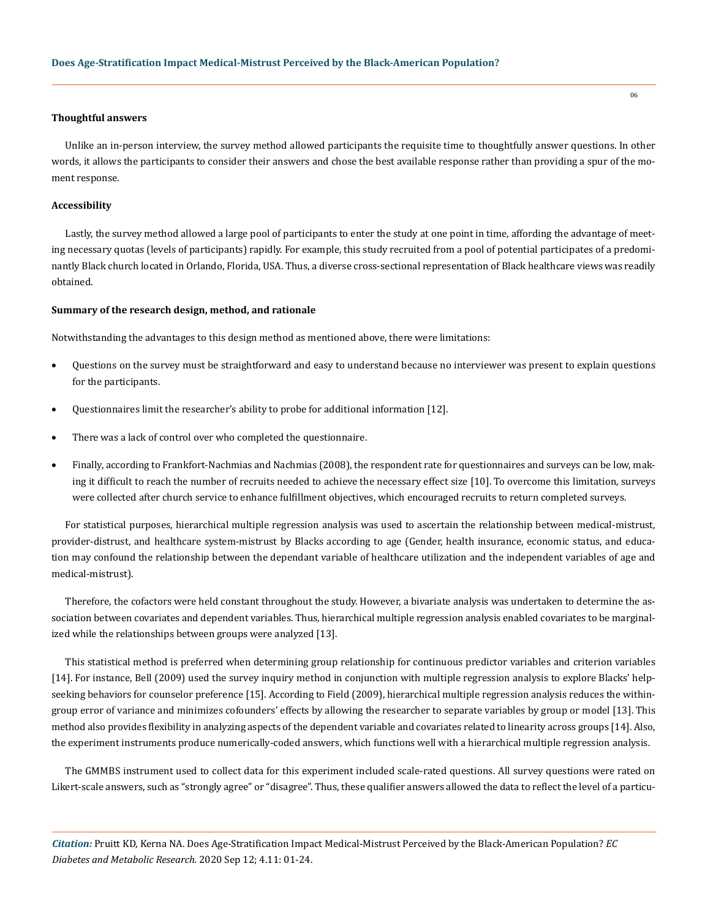# **Thoughtful answers**

Unlike an in-person interview, the survey method allowed participants the requisite time to thoughtfully answer questions. In other words, it allows the participants to consider their answers and chose the best available response rather than providing a spur of the moment response.

# **Accessibility**

Lastly, the survey method allowed a large pool of participants to enter the study at one point in time, affording the advantage of meeting necessary quotas (levels of participants) rapidly. For example, this study recruited from a pool of potential participates of a predominantly Black church located in Orlando, Florida, USA. Thus, a diverse cross-sectional representation of Black healthcare views was readily obtained.

# **Summary of the research design, method, and rationale**

Notwithstanding the advantages to this design method as mentioned above, there were limitations:

- • Questions on the survey must be straightforward and easy to understand because no interviewer was present to explain questions for the participants.
- • Questionnaires limit the researcher's ability to probe for additional information [12].
- There was a lack of control over who completed the questionnaire.
- • Finally, according to Frankfort-Nachmias and Nachmias (2008), the respondent rate for questionnaires and surveys can be low, making it difficult to reach the number of recruits needed to achieve the necessary effect size [10]. To overcome this limitation, surveys were collected after church service to enhance fulfillment objectives, which encouraged recruits to return completed surveys.

For statistical purposes, hierarchical multiple regression analysis was used to ascertain the relationship between medical-mistrust, provider-distrust, and healthcare system-mistrust by Blacks according to age (Gender, health insurance, economic status, and education may confound the relationship between the dependant variable of healthcare utilization and the independent variables of age and medical-mistrust).

Therefore, the cofactors were held constant throughout the study. However, a bivariate analysis was undertaken to determine the association between covariates and dependent variables. Thus, hierarchical multiple regression analysis enabled covariates to be marginalized while the relationships between groups were analyzed [13].

This statistical method is preferred when determining group relationship for continuous predictor variables and criterion variables [14]. For instance, Bell (2009) used the survey inquiry method in conjunction with multiple regression analysis to explore Blacks' helpseeking behaviors for counselor preference [15]. According to Field (2009), hierarchical multiple regression analysis reduces the withingroup error of variance and minimizes cofounders' effects by allowing the researcher to separate variables by group or model [13]. This method also provides flexibility in analyzing aspects of the dependent variable and covariates related to linearity across groups [14]. Also, the experiment instruments produce numerically-coded answers, which functions well with a hierarchical multiple regression analysis.

The GMMBS instrument used to collect data for this experiment included scale-rated questions. All survey questions were rated on Likert-scale answers, such as "strongly agree" or "disagree". Thus, these qualifier answers allowed the data to reflect the level of a particu-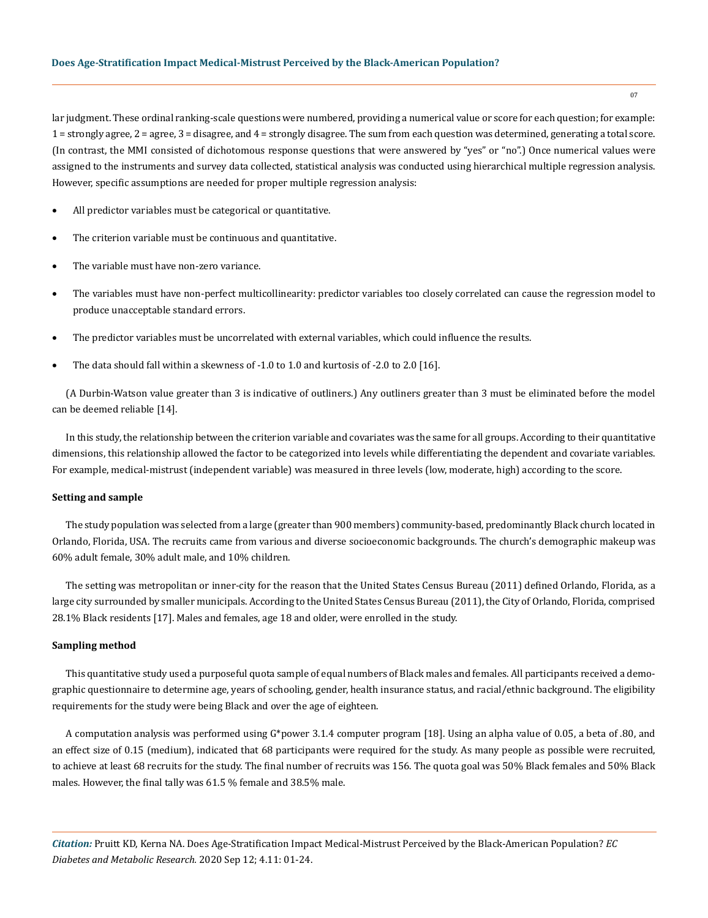lar judgment. These ordinal ranking-scale questions were numbered, providing a numerical value or score for each question; for example: 1 = strongly agree, 2 = agree, 3 = disagree, and 4 = strongly disagree. The sum from each question was determined, generating a total score. (In contrast, the MMI consisted of dichotomous response questions that were answered by "yes" or "no".) Once numerical values were assigned to the instruments and survey data collected, statistical analysis was conducted using hierarchical multiple regression analysis. However, specific assumptions are needed for proper multiple regression analysis:

- All predictor variables must be categorical or quantitative.
- The criterion variable must be continuous and quantitative.
- The variable must have non-zero variance.
- The variables must have non-perfect multicollinearity: predictor variables too closely correlated can cause the regression model to produce unacceptable standard errors.
- The predictor variables must be uncorrelated with external variables, which could influence the results.
- The data should fall within a skewness of  $-1.0$  to 1.0 and kurtosis of  $-2.0$  to 2.0 [16].

(A Durbin-Watson value greater than 3 is indicative of outliners.) Any outliners greater than 3 must be eliminated before the model can be deemed reliable [14].

In this study, the relationship between the criterion variable and covariates was the same for all groups. According to their quantitative dimensions, this relationship allowed the factor to be categorized into levels while differentiating the dependent and covariate variables. For example, medical-mistrust (independent variable) was measured in three levels (low, moderate, high) according to the score.

# **Setting and sample**

The study population was selected from a large (greater than 900 members) community-based, predominantly Black church located in Orlando, Florida, USA. The recruits came from various and diverse socioeconomic backgrounds. The church's demographic makeup was 60% adult female, 30% adult male, and 10% children.

The setting was metropolitan or inner-city for the reason that the United States Census Bureau (2011) defined Orlando, Florida, as a large city surrounded by smaller municipals. According to the United States Census Bureau (2011), the City of Orlando, Florida, comprised 28.1% Black residents [17]. Males and females, age 18 and older, were enrolled in the study.

# **Sampling method**

This quantitative study used a purposeful quota sample of equal numbers of Black males and females. All participants received a demographic questionnaire to determine age, years of schooling, gender, health insurance status, and racial/ethnic background. The eligibility requirements for the study were being Black and over the age of eighteen.

A computation analysis was performed using G\*power 3.1.4 computer program [18]. Using an alpha value of 0.05, a beta of .80, and an effect size of 0.15 (medium), indicated that 68 participants were required for the study. As many people as possible were recruited, to achieve at least 68 recruits for the study. The final number of recruits was 156. The quota goal was 50% Black females and 50% Black males. However, the final tally was 61.5 % female and 38.5% male.

*Citation:* Pruitt KD, Kerna NA. Does Age-Stratification Impact Medical-Mistrust Perceived by the Black-American Population? *EC Diabetes and Metabolic Research.* 2020 Sep 12; 4.11: 01-24.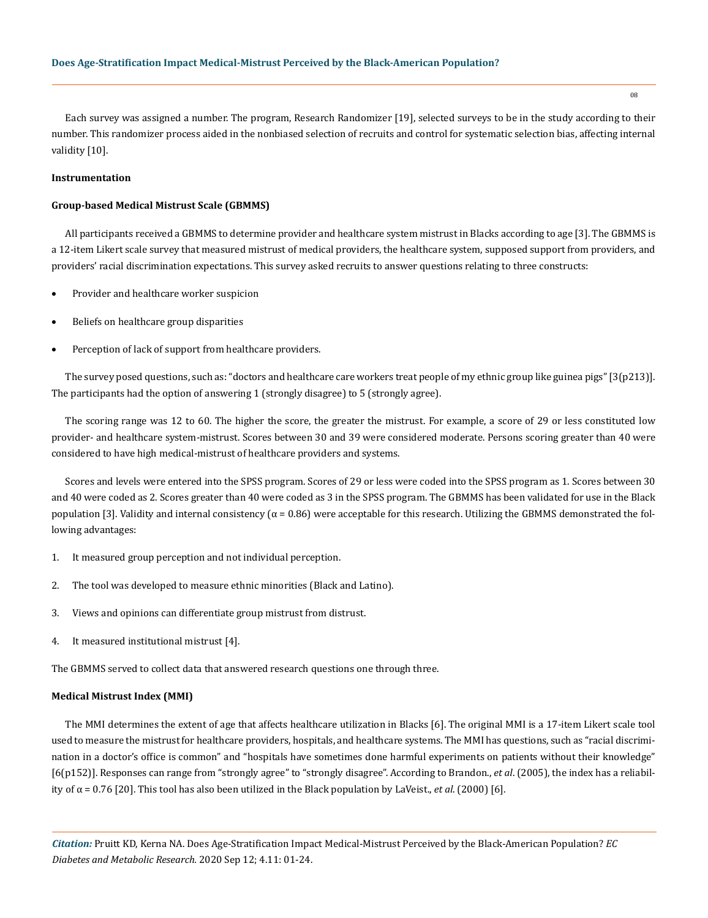Each survey was assigned a number. The program, Research Randomizer [19], selected surveys to be in the study according to their number. This randomizer process aided in the nonbiased selection of recruits and control for systematic selection bias, affecting internal validity [10].

# **Instrumentation**

# **Group-based Medical Mistrust Scale (GBMMS)**

All participants received a GBMMS to determine provider and healthcare system mistrust in Blacks according to age [3]. The GBMMS is a 12-item Likert scale survey that measured mistrust of medical providers, the healthcare system, supposed support from providers, and providers' racial discrimination expectations. This survey asked recruits to answer questions relating to three constructs:

- Provider and healthcare worker suspicion
- Beliefs on healthcare group disparities
- Perception of lack of support from healthcare providers.

The survey posed questions, such as: "doctors and healthcare care workers treat people of my ethnic group like guinea pigs" [3(p213)]. The participants had the option of answering 1 (strongly disagree) to 5 (strongly agree).

The scoring range was 12 to 60. The higher the score, the greater the mistrust. For example, a score of 29 or less constituted low provider- and healthcare system-mistrust. Scores between 30 and 39 were considered moderate. Persons scoring greater than 40 were considered to have high medical-mistrust of healthcare providers and systems.

Scores and levels were entered into the SPSS program. Scores of 29 or less were coded into the SPSS program as 1. Scores between 30 and 40 were coded as 2. Scores greater than 40 were coded as 3 in the SPSS program. The GBMMS has been validated for use in the Black population [3]. Validity and internal consistency ( $\alpha$  = 0.86) were acceptable for this research. Utilizing the GBMMS demonstrated the following advantages:

- 1. It measured group perception and not individual perception.
- 2. The tool was developed to measure ethnic minorities (Black and Latino).
- 3. Views and opinions can differentiate group mistrust from distrust.
- 4. It measured institutional mistrust [4].

The GBMMS served to collect data that answered research questions one through three.

# **Medical Mistrust Index (MMI)**

The MMI determines the extent of age that affects healthcare utilization in Blacks [6]. The original MMI is a 17-item Likert scale tool used to measure the mistrust for healthcare providers, hospitals, and healthcare systems. The MMI has questions, such as "racial discrimination in a doctor's office is common" and "hospitals have sometimes done harmful experiments on patients without their knowledge" [6(p152)]. Responses can range from "strongly agree" to "strongly disagree". According to Brandon., *et al*. (2005), the index has a reliability of  $\alpha$  = 0.76 [20]. This tool has also been utilized in the Black population by LaVeist., *et al.* (2000) [6].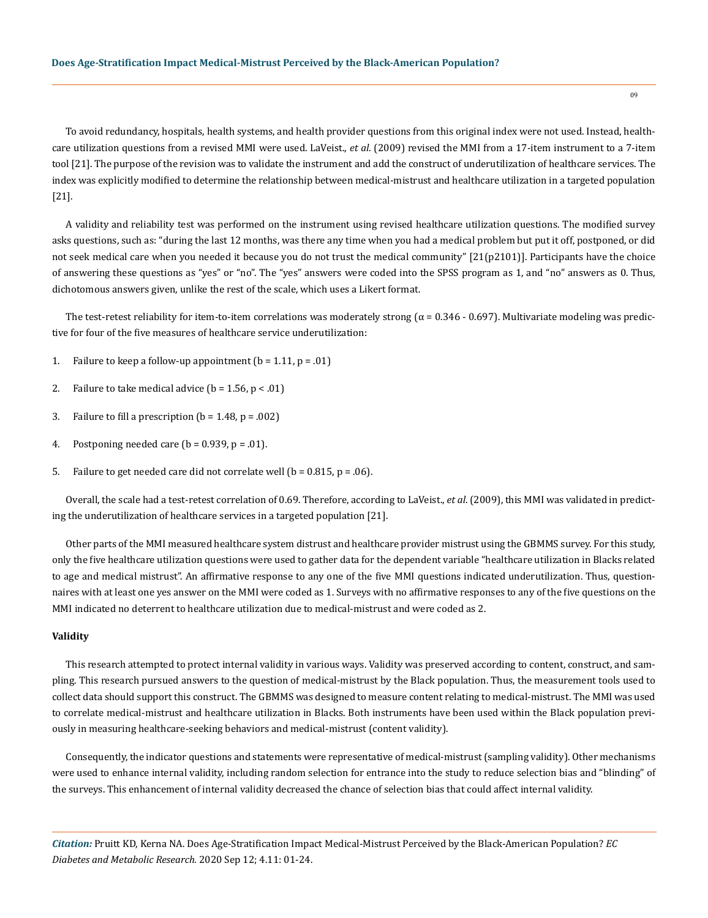To avoid redundancy, hospitals, health systems, and health provider questions from this original index were not used. Instead, healthcare utilization questions from a revised MMI were used. LaVeist., *et al*. (2009) revised the MMI from a 17-item instrument to a 7-item tool [21]. The purpose of the revision was to validate the instrument and add the construct of underutilization of healthcare services. The index was explicitly modified to determine the relationship between medical-mistrust and healthcare utilization in a targeted population [21].

A validity and reliability test was performed on the instrument using revised healthcare utilization questions. The modified survey asks questions, such as: "during the last 12 months, was there any time when you had a medical problem but put it off, postponed, or did not seek medical care when you needed it because you do not trust the medical community" [21(p2101)]. Participants have the choice of answering these questions as "yes" or "no". The "yes" answers were coded into the SPSS program as 1, and "no" answers as 0. Thus, dichotomous answers given, unlike the rest of the scale, which uses a Likert format.

The test-retest reliability for item-to-item correlations was moderately strong ( $\alpha$  = 0.346 - 0.697). Multivariate modeling was predictive for four of the five measures of healthcare service underutilization:

- 1. Failure to keep a follow-up appointment  $(b = 1.11, p = .01)$
- 2. Failure to take medical advice ( $b = 1.56$ ,  $p < .01$ )
- 3. Failure to fill a prescription  $(b = 1.48, p = .002)$
- 4. Postponing needed care  $(b = 0.939, p = .01)$ .
- 5. Failure to get needed care did not correlate well ( $b = 0.815$ ,  $p = .06$ ).

Overall, the scale had a test-retest correlation of 0.69. Therefore, according to LaVeist., *et al*. (2009), this MMI was validated in predicting the underutilization of healthcare services in a targeted population [21].

Other parts of the MMI measured healthcare system distrust and healthcare provider mistrust using the GBMMS survey. For this study, only the five healthcare utilization questions were used to gather data for the dependent variable "healthcare utilization in Blacks related to age and medical mistrust". An affirmative response to any one of the five MMI questions indicated underutilization. Thus, questionnaires with at least one yes answer on the MMI were coded as 1. Surveys with no affirmative responses to any of the five questions on the MMI indicated no deterrent to healthcare utilization due to medical-mistrust and were coded as 2.

## **Validity**

This research attempted to protect internal validity in various ways. Validity was preserved according to content, construct, and sampling. This research pursued answers to the question of medical-mistrust by the Black population. Thus, the measurement tools used to collect data should support this construct. The GBMMS was designed to measure content relating to medical-mistrust. The MMI was used to correlate medical-mistrust and healthcare utilization in Blacks. Both instruments have been used within the Black population previously in measuring healthcare-seeking behaviors and medical-mistrust (content validity).

Consequently, the indicator questions and statements were representative of medical-mistrust (sampling validity). Other mechanisms were used to enhance internal validity, including random selection for entrance into the study to reduce selection bias and "blinding" of the surveys. This enhancement of internal validity decreased the chance of selection bias that could affect internal validity.

*Citation:* Pruitt KD, Kerna NA. Does Age-Stratification Impact Medical-Mistrust Perceived by the Black-American Population? *EC Diabetes and Metabolic Research.* 2020 Sep 12; 4.11: 01-24.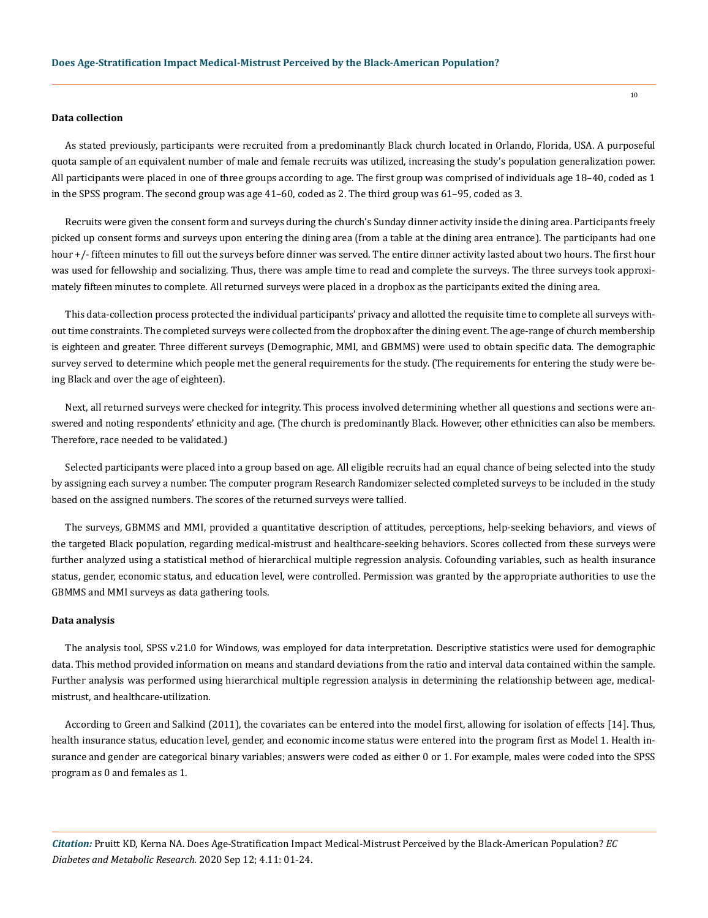# **Data collection**

As stated previously, participants were recruited from a predominantly Black church located in Orlando, Florida, USA. A purposeful quota sample of an equivalent number of male and female recruits was utilized, increasing the study's population generalization power. All participants were placed in one of three groups according to age. The first group was comprised of individuals age 18–40, coded as 1 in the SPSS program. The second group was age 41–60, coded as 2. The third group was 61–95, coded as 3.

Recruits were given the consent form and surveys during the church's Sunday dinner activity inside the dining area. Participants freely picked up consent forms and surveys upon entering the dining area (from a table at the dining area entrance). The participants had one hour +/- fifteen minutes to fill out the surveys before dinner was served. The entire dinner activity lasted about two hours. The first hour was used for fellowship and socializing. Thus, there was ample time to read and complete the surveys. The three surveys took approximately fifteen minutes to complete. All returned surveys were placed in a dropbox as the participants exited the dining area.

This data-collection process protected the individual participants' privacy and allotted the requisite time to complete all surveys without time constraints. The completed surveys were collected from the dropbox after the dining event. The age-range of church membership is eighteen and greater. Three different surveys (Demographic, MMI, and GBMMS) were used to obtain specific data. The demographic survey served to determine which people met the general requirements for the study. (The requirements for entering the study were being Black and over the age of eighteen).

Next, all returned surveys were checked for integrity. This process involved determining whether all questions and sections were answered and noting respondents' ethnicity and age. (The church is predominantly Black. However, other ethnicities can also be members. Therefore, race needed to be validated.)

Selected participants were placed into a group based on age. All eligible recruits had an equal chance of being selected into the study by assigning each survey a number. The computer program Research Randomizer selected completed surveys to be included in the study based on the assigned numbers. The scores of the returned surveys were tallied.

The surveys, GBMMS and MMI, provided a quantitative description of attitudes, perceptions, help-seeking behaviors, and views of the targeted Black population, regarding medical-mistrust and healthcare-seeking behaviors. Scores collected from these surveys were further analyzed using a statistical method of hierarchical multiple regression analysis. Cofounding variables, such as health insurance status, gender, economic status, and education level, were controlled. Permission was granted by the appropriate authorities to use the GBMMS and MMI surveys as data gathering tools.

#### **Data analysis**

The analysis tool, SPSS v.21.0 for Windows, was employed for data interpretation. Descriptive statistics were used for demographic data. This method provided information on means and standard deviations from the ratio and interval data contained within the sample. Further analysis was performed using hierarchical multiple regression analysis in determining the relationship between age, medicalmistrust, and healthcare-utilization.

According to Green and Salkind (2011), the covariates can be entered into the model first, allowing for isolation of effects [14]. Thus, health insurance status, education level, gender, and economic income status were entered into the program first as Model 1. Health insurance and gender are categorical binary variables; answers were coded as either 0 or 1. For example, males were coded into the SPSS program as 0 and females as 1.

*Citation:* Pruitt KD, Kerna NA. Does Age-Stratification Impact Medical-Mistrust Perceived by the Black-American Population? *EC Diabetes and Metabolic Research.* 2020 Sep 12; 4.11: 01-24.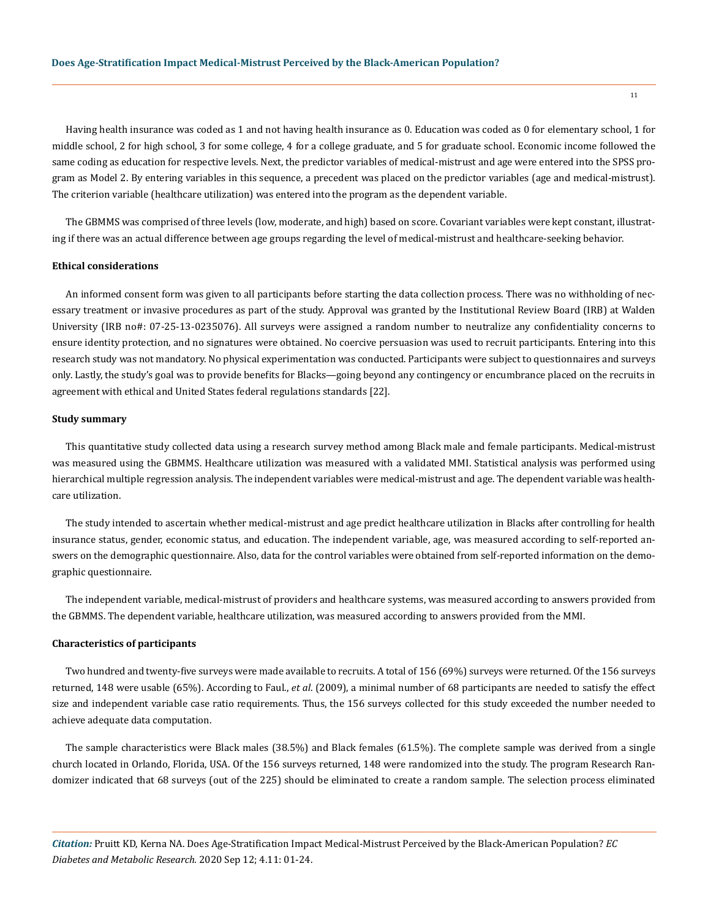Having health insurance was coded as 1 and not having health insurance as 0. Education was coded as 0 for elementary school, 1 for middle school, 2 for high school, 3 for some college, 4 for a college graduate, and 5 for graduate school. Economic income followed the same coding as education for respective levels. Next, the predictor variables of medical-mistrust and age were entered into the SPSS program as Model 2. By entering variables in this sequence, a precedent was placed on the predictor variables (age and medical-mistrust). The criterion variable (healthcare utilization) was entered into the program as the dependent variable.

The GBMMS was comprised of three levels (low, moderate, and high) based on score. Covariant variables were kept constant, illustrating if there was an actual difference between age groups regarding the level of medical-mistrust and healthcare-seeking behavior.

# **Ethical considerations**

An informed consent form was given to all participants before starting the data collection process. There was no withholding of necessary treatment or invasive procedures as part of the study. Approval was granted by the Institutional Review Board (IRB) at Walden University (IRB no#: 07-25-13-0235076). All surveys were assigned a random number to neutralize any confidentiality concerns to ensure identity protection, and no signatures were obtained. No coercive persuasion was used to recruit participants. Entering into this research study was not mandatory. No physical experimentation was conducted. Participants were subject to questionnaires and surveys only. Lastly, the study's goal was to provide benefits for Blacks—going beyond any contingency or encumbrance placed on the recruits in agreement with ethical and United States federal regulations standards [22].

# **Study summary**

This quantitative study collected data using a research survey method among Black male and female participants. Medical-mistrust was measured using the GBMMS. Healthcare utilization was measured with a validated MMI. Statistical analysis was performed using hierarchical multiple regression analysis. The independent variables were medical-mistrust and age. The dependent variable was healthcare utilization.

The study intended to ascertain whether medical-mistrust and age predict healthcare utilization in Blacks after controlling for health insurance status, gender, economic status, and education. The independent variable, age, was measured according to self-reported answers on the demographic questionnaire. Also, data for the control variables were obtained from self-reported information on the demographic questionnaire.

The independent variable, medical-mistrust of providers and healthcare systems, was measured according to answers provided from the GBMMS. The dependent variable, healthcare utilization, was measured according to answers provided from the MMI.

#### **Characteristics of participants**

Two hundred and twenty-five surveys were made available to recruits. A total of 156 (69%) surveys were returned. Of the 156 surveys returned, 148 were usable (65%). According to Faul., *et al*. (2009), a minimal number of 68 participants are needed to satisfy the effect size and independent variable case ratio requirements. Thus, the 156 surveys collected for this study exceeded the number needed to achieve adequate data computation.

The sample characteristics were Black males (38.5%) and Black females (61.5%). The complete sample was derived from a single church located in Orlando, Florida, USA. Of the 156 surveys returned, 148 were randomized into the study. The program Research Randomizer indicated that 68 surveys (out of the 225) should be eliminated to create a random sample. The selection process eliminated

*Citation:* Pruitt KD, Kerna NA. Does Age-Stratification Impact Medical-Mistrust Perceived by the Black-American Population? *EC Diabetes and Metabolic Research.* 2020 Sep 12; 4.11: 01-24.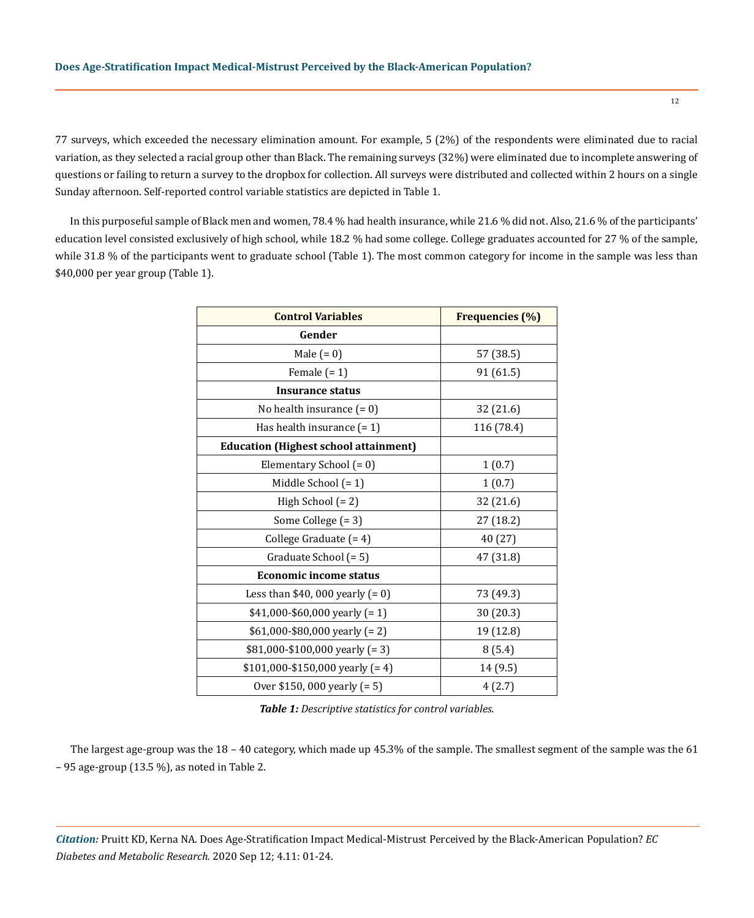77 surveys, which exceeded the necessary elimination amount. For example, 5 (2%) of the respondents were eliminated due to racial variation, as they selected a racial group other than Black. The remaining surveys (32%) were eliminated due to incomplete answering of questions or failing to return a survey to the dropbox for collection. All surveys were distributed and collected within 2 hours on a single Sunday afternoon. Self-reported control variable statistics are depicted in Table 1.

In this purposeful sample of Black men and women, 78.4 % had health insurance, while 21.6 % did not. Also, 21.6 % of the participants' education level consisted exclusively of high school, while 18.2 % had some college. College graduates accounted for 27 % of the sample, while 31.8 % of the participants went to graduate school (Table 1). The most common category for income in the sample was less than \$40,000 per year group (Table 1).

| <b>Control Variables</b>                     | <b>Frequencies (%)</b> |
|----------------------------------------------|------------------------|
| Gender                                       |                        |
| Male $(= 0)$                                 | 57 (38.5)              |
| Female $(= 1)$                               | 91 (61.5)              |
| Insurance status                             |                        |
| No health insurance $(= 0)$                  | 32 (21.6)              |
| Has health insurance $(= 1)$                 | 116 (78.4)             |
| <b>Education (Highest school attainment)</b> |                        |
| Elementary School (= 0)                      | 1(0.7)                 |
| Middle School $(= 1)$                        | 1(0.7)                 |
| High School (= 2)                            | 32 (21.6)              |
| Some College (= 3)                           | 27 (18.2)              |
| College Graduate (= 4)                       | 40 (27)                |
| Graduate School (= 5)                        | 47 (31.8)              |
| <b>Economic income status</b>                |                        |
| Less than \$40, 000 yearly $(= 0)$           | 73 (49.3)              |
| $$41,000 - $60,000$ yearly (= 1)             | 30 (20.3)              |
| $$61,000$ -\$80,000 yearly (= 2)             | 19 (12.8)              |
| $$81,000-\$100,000$ yearly (= 3)             | 8(5.4)                 |
| $$101,000 - $150,000$ yearly (= 4)           | 14 (9.5)               |
| Over \$150, 000 yearly (= 5)                 | 4(2.7)                 |

*Table 1: Descriptive statistics for control variables.*

The largest age-group was the 18 – 40 category, which made up 45.3% of the sample. The smallest segment of the sample was the 61 – 95 age-group (13.5 %), as noted in Table 2.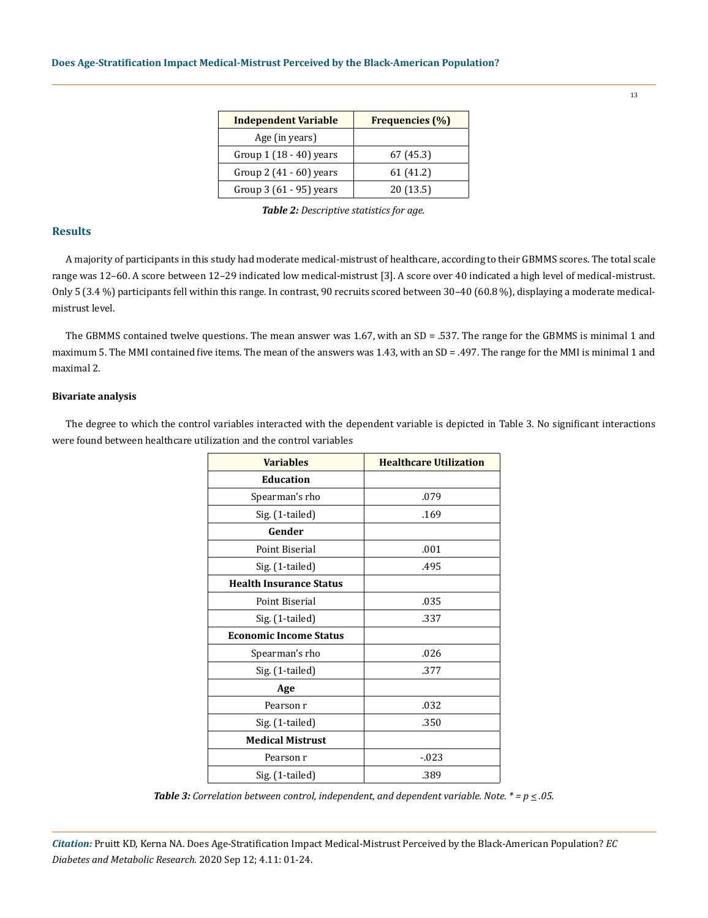| <b>Independent Variable</b> | <b>Frequencies</b> (%) |
|-----------------------------|------------------------|
| Age (in years)              |                        |
| Group $1(18-40)$ years      | 67 (45.3)              |
| Group 2 $(41 - 60)$ years   | 61 (41.2)              |
| Group $3(61 - 95)$ years    | 20(13.5)               |

*Table 2: Descriptive statistics for age.*

# **Results**

A majority of participants in this study had moderate medical-mistrust of healthcare, according to their GBMMS scores. The total scale range was 12–60. A score between 12–29 indicated low medical-mistrust [3]. A score over 40 indicated a high level of medical-mistrust. Only 5 (3.4 %) participants fell within this range. In contrast, 90 recruits scored between 30–40 (60.8 %), displaying a moderate medicalmistrust level.

The GBMMS contained twelve questions. The mean answer was 1.67, with an SD = .537. The range for the GBMMS is minimal 1 and maximum 5. The MMI contained five items. The mean of the answers was 1.43, with an SD = .497. The range for the MMI is minimal 1 and maximal 2.

# **Bivariate analysis**

The degree to which the control variables interacted with the dependent variable is depicted in Table 3. No significant interactions were found between healthcare utilization and the control variables

| <b>Variables</b>               | <b>Healthcare Utilization</b> |
|--------------------------------|-------------------------------|
| <b>Education</b>               |                               |
| Spearman's rho                 | .079                          |
| Sig. (1-tailed)                | .169                          |
| Gender                         |                               |
| Point Biserial                 | .001                          |
| Sig. (1-tailed)                | .495                          |
| <b>Health Insurance Status</b> |                               |
| Point Biserial                 | .035                          |
| Sig. (1-tailed)                | .337                          |
| <b>Economic Income Status</b>  |                               |
| Spearman's rho                 | .026                          |
| Sig. (1-tailed)                | .377                          |
| Age                            |                               |
| Pearson r                      | .032                          |
| Sig. (1-tailed)                | .350                          |
| <b>Medical Mistrust</b>        |                               |
| Pearson r                      | $-0.023$                      |
| Sig. (1-tailed)                | .389                          |

*Table 3: Correlation between control, independent, and dependent variable. Note. \* = p < .05.*

*Citation:* Pruitt KD, Kerna NA. Does Age-Stratification Impact Medical-Mistrust Perceived by the Black-American Population? *EC Diabetes and Metabolic Research.* 2020 Sep 12; 4.11: 01-24.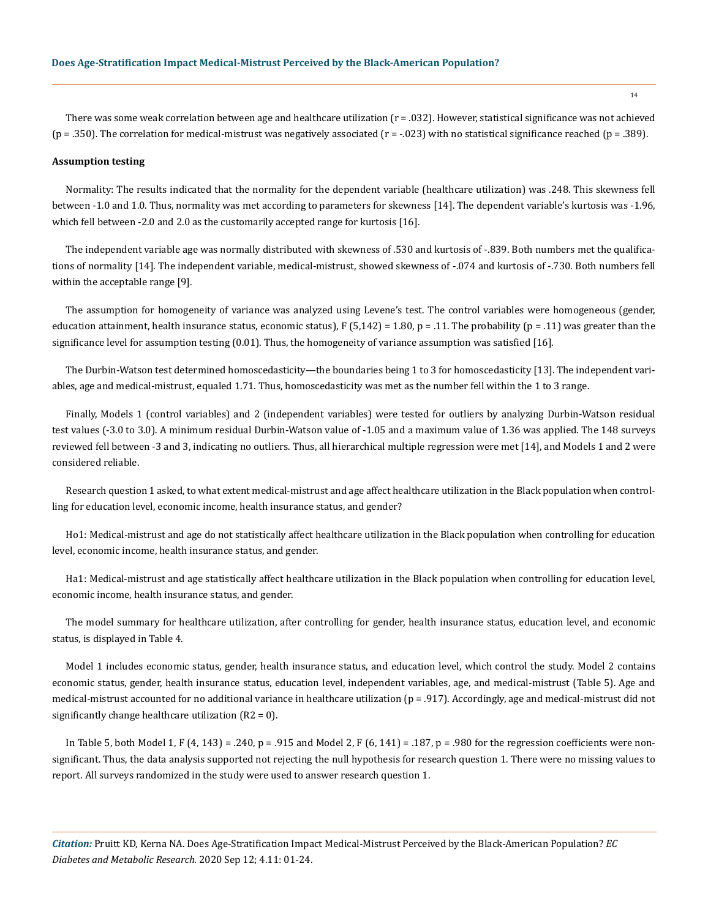There was some weak correlation between age and healthcare utilization (r = .032). However, statistical significance was not achieved (p = .350). The correlation for medical-mistrust was negatively associated (r = -.023) with no statistical significance reached (p = .389).

#### **Assumption testing**

Normality: The results indicated that the normality for the dependent variable (healthcare utilization) was .248. This skewness fell between -1.0 and 1.0. Thus, normality was met according to parameters for skewness [14]. The dependent variable's kurtosis was -1.96, which fell between -2.0 and 2.0 as the customarily accepted range for kurtosis [16].

The independent variable age was normally distributed with skewness of .530 and kurtosis of -.839. Both numbers met the qualifications of normality [14]. The independent variable, medical-mistrust, showed skewness of -.074 and kurtosis of -.730. Both numbers fell within the acceptable range [9].

The assumption for homogeneity of variance was analyzed using Levene's test. The control variables were homogeneous (gender, education attainment, health insurance status, economic status),  $F(5,142) = 1.80$ ,  $p = .11$ . The probability ( $p = .11$ ) was greater than the significance level for assumption testing (0.01). Thus, the homogeneity of variance assumption was satisfied [16].

The Durbin-Watson test determined homoscedasticity—the boundaries being 1 to 3 for homoscedasticity [13]. The independent variables, age and medical-mistrust, equaled 1.71. Thus, homoscedasticity was met as the number fell within the 1 to 3 range.

Finally, Models 1 (control variables) and 2 (independent variables) were tested for outliers by analyzing Durbin-Watson residual test values (-3.0 to 3.0). A minimum residual Durbin-Watson value of -1.05 and a maximum value of 1.36 was applied. The 148 surveys reviewed fell between -3 and 3, indicating no outliers. Thus, all hierarchical multiple regression were met [14], and Models 1 and 2 were considered reliable.

Research question 1 asked, to what extent medical-mistrust and age affect healthcare utilization in the Black population when controlling for education level, economic income, health insurance status, and gender?

Ho1: Medical-mistrust and age do not statistically affect healthcare utilization in the Black population when controlling for education level, economic income, health insurance status, and gender.

Ha1: Medical-mistrust and age statistically affect healthcare utilization in the Black population when controlling for education level, economic income, health insurance status, and gender.

The model summary for healthcare utilization, after controlling for gender, health insurance status, education level, and economic status, is displayed in Table 4.

Model 1 includes economic status, gender, health insurance status, and education level, which control the study. Model 2 contains economic status, gender, health insurance status, education level, independent variables, age, and medical-mistrust (Table 5). Age and medical-mistrust accounted for no additional variance in healthcare utilization (p = .917). Accordingly, age and medical-mistrust did not significantly change healthcare utilization  $(R2 = 0)$ .

In Table 5, both Model 1, F (4, 143) = .240, p = .915 and Model 2, F (6, 141) = .187, p = .980 for the regression coefficients were nonsignificant. Thus, the data analysis supported not rejecting the null hypothesis for research question 1. There were no missing values to report. All surveys randomized in the study were used to answer research question 1.

*Citation:* Pruitt KD, Kerna NA. Does Age-Stratification Impact Medical-Mistrust Perceived by the Black-American Population? *EC Diabetes and Metabolic Research.* 2020 Sep 12; 4.11: 01-24.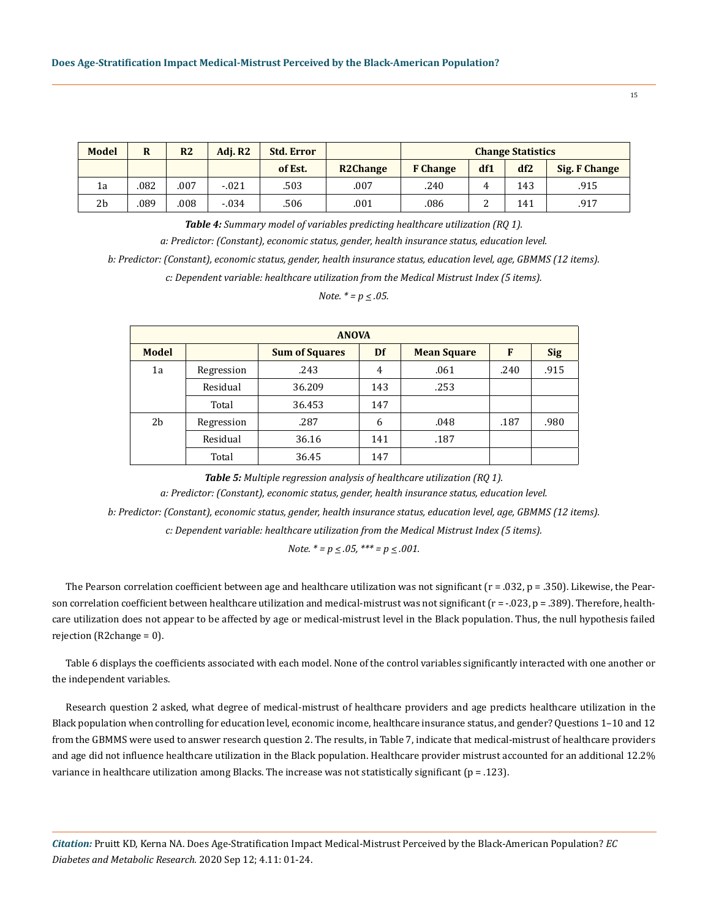| <b>Model</b>   | R    | R <sub>2</sub> | Adi. R2 | <b>Std. Error</b> |                 | <b>Change Statistics</b> |     |     |               |
|----------------|------|----------------|---------|-------------------|-----------------|--------------------------|-----|-----|---------------|
|                |      |                |         | of Est.           | <b>R2Change</b> | <b>F</b> Change          | df1 | df2 | Sig. F Change |
| 1a             | .082 | .007           | $-.021$ | .503              | .007            | .240                     | Δ.  | 143 | .915          |
| 2 <sub>b</sub> | .089 | .008           | $-.034$ | .506              | .001            | .086                     | ▵   | 141 | .917          |

*Table 4: Summary model of variables predicting healthcare utilization (RQ 1). a: Predictor: (Constant), economic status, gender, health insurance status, education level. b: Predictor: (Constant), economic status, gender, health insurance status, education level, age, GBMMS (12 items).*

*c: Dependent variable: healthcare utilization from the Medical Mistrust Index (5 items).*

*Note. \* = p < .05.*

| <b>ANOVA</b> |                    |                       |     |                    |      |            |  |  |  |  |  |
|--------------|--------------------|-----------------------|-----|--------------------|------|------------|--|--|--|--|--|
| <b>Model</b> |                    | <b>Sum of Squares</b> | Df  | <b>Mean Square</b> | F    | <b>Sig</b> |  |  |  |  |  |
| 1a           | .243<br>Regression |                       | 4   | .061               | .240 | .915       |  |  |  |  |  |
|              | Residual           | 36.209                | 143 | .253               |      |            |  |  |  |  |  |
|              | Total              | 36.453                | 147 |                    |      |            |  |  |  |  |  |
| 2b           | Regression         | .287                  | 6   | .048               | .187 | .980       |  |  |  |  |  |
|              | Residual           | 36.16                 | 141 | .187               |      |            |  |  |  |  |  |
|              | Total              | 36.45                 | 147 |                    |      |            |  |  |  |  |  |

*Table 5: Multiple regression analysis of healthcare utilization (RQ 1).*

*a: Predictor: (Constant), economic status, gender, health insurance status, education level.*

*b: Predictor: (Constant), economic status, gender, health insurance status, education level, age, GBMMS (12 items).*

*c: Dependent variable: healthcare utilization from the Medical Mistrust Index (5 items).* 

*Note.*  $* = p \le .05$ ,  $** = p \le .001$ .

The Pearson correlation coefficient between age and healthcare utilization was not significant  $(r = .032, p = .350)$ . Likewise, the Pearson correlation coefficient between healthcare utilization and medical-mistrust was not significant  $(r = -0.023, p = .389)$ . Therefore, healthcare utilization does not appear to be affected by age or medical-mistrust level in the Black population. Thus, the null hypothesis failed rejection (R2change = 0).

Table 6 displays the coefficients associated with each model. None of the control variables significantly interacted with one another or the independent variables.

Research question 2 asked, what degree of medical-mistrust of healthcare providers and age predicts healthcare utilization in the Black population when controlling for education level, economic income, healthcare insurance status, and gender? Questions 1–10 and 12 from the GBMMS were used to answer research question 2. The results, in Table 7, indicate that medical-mistrust of healthcare providers and age did not influence healthcare utilization in the Black population. Healthcare provider mistrust accounted for an additional 12.2% variance in healthcare utilization among Blacks. The increase was not statistically significant (p = .123).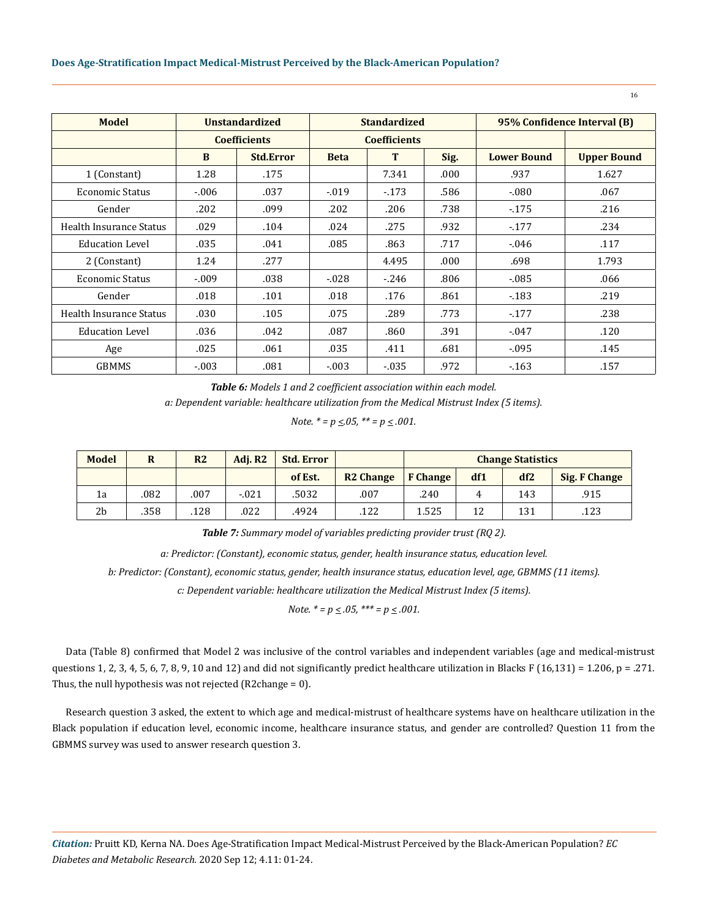| <b>Model</b>            | <b>Unstandardized</b> |                     | <b>Standardized</b> |                     |      | 95% Confidence Interval (B) |                    |  |
|-------------------------|-----------------------|---------------------|---------------------|---------------------|------|-----------------------------|--------------------|--|
|                         |                       | <b>Coefficients</b> |                     | <b>Coefficients</b> |      |                             |                    |  |
|                         | B                     | <b>Std.Error</b>    | <b>Beta</b>         | T                   | Sig. | <b>Lower Bound</b>          | <b>Upper Bound</b> |  |
| 1 (Constant)            | 1.28                  | .175                |                     | 7.341               | .000 | .937                        | 1.627              |  |
| Economic Status         | $-0.06$               | .037                | $-0.019$            | $-173$              | .586 | $-080$                      | .067               |  |
| Gender                  | .202                  | .099                | .202                | .206                | .738 | $-175$                      | .216               |  |
| Health Insurance Status | .029                  | .104                | .024                | .275                | .932 | $-177$                      | .234               |  |
| <b>Education Level</b>  | .035                  | .041                | .085                | .863                | .717 | $-0.046$                    | .117               |  |
| 2 (Constant)            | 1.24                  | .277                |                     | 4.495               | .000 | .698                        | 1.793              |  |
| Economic Status         | $-.009$               | .038                | $-0.028$            | $-246$              | .806 | $-0.085$                    | .066               |  |
| Gender                  | .018                  | .101                | .018                | .176                | .861 | $-183$                      | .219               |  |
| Health Insurance Status | .030                  | .105                | .075                | .289                | .773 | $-177$                      | .238               |  |
| <b>Education Level</b>  | .036                  | .042                | .087                | .860                | .391 | $-0.047$                    | .120               |  |
| Age                     | .025                  | .061                | .035                | .411                | .681 | $-0.095$                    | .145               |  |
| <b>GBMMS</b>            | $-.003$               | .081                | $-.003$             | $-0.035$            | .972 | $-163$                      | .157               |  |

*Table 6: Models 1 and 2 coefficient association within each model.*

*a: Dependent variable: healthcare utilization from the Medical Mistrust Index (5 items).*

*Note.*  $* = p \le 0.05$ ,  $** = p \le 0.001$ .

| <b>Model</b>   | R    | R <sub>2</sub> | Adi. R2 | <b>Std. Error</b> |                  | <b>Change Statistics</b> |     |                 |               |
|----------------|------|----------------|---------|-------------------|------------------|--------------------------|-----|-----------------|---------------|
|                |      |                |         | of Est.           | <b>R2 Change</b> | <b>F</b> Change          | df1 | df <sub>2</sub> | Sig. F Change |
| 1a             | .082 | .007           | $-.021$ | .5032             | .007             | .240                     | 4   | 143             | .915          |
| 2 <sub>b</sub> | .358 | .128           | .022    | .4924             | .122             | 1.525                    | 12  | 131             | .123          |

*Table 7: Summary model of variables predicting provider trust (RQ 2).*

*a: Predictor: (Constant), economic status, gender, health insurance status, education level.*

*b: Predictor: (Constant), economic status, gender, health insurance status, education level, age, GBMMS (11 items).*

*c: Dependent variable: healthcare utilization the Medical Mistrust Index (5 items).*

*Note.*  $* = p \le .05$ ,  $** = p \le .001$ .

Data (Table 8) confirmed that Model 2 was inclusive of the control variables and independent variables (age and medical-mistrust questions 1, 2, 3, 4, 5, 6, 7, 8, 9, 10 and 12) and did not significantly predict healthcare utilization in Blacks F (16,131) = 1.206, p = .271. Thus, the null hypothesis was not rejected (R2change = 0).

Research question 3 asked, the extent to which age and medical-mistrust of healthcare systems have on healthcare utilization in the Black population if education level, economic income, healthcare insurance status, and gender are controlled? Question 11 from the GBMMS survey was used to answer research question 3.

*Citation:* Pruitt KD, Kerna NA. Does Age-Stratification Impact Medical-Mistrust Perceived by the Black-American Population? *EC Diabetes and Metabolic Research.* 2020 Sep 12; 4.11: 01-24.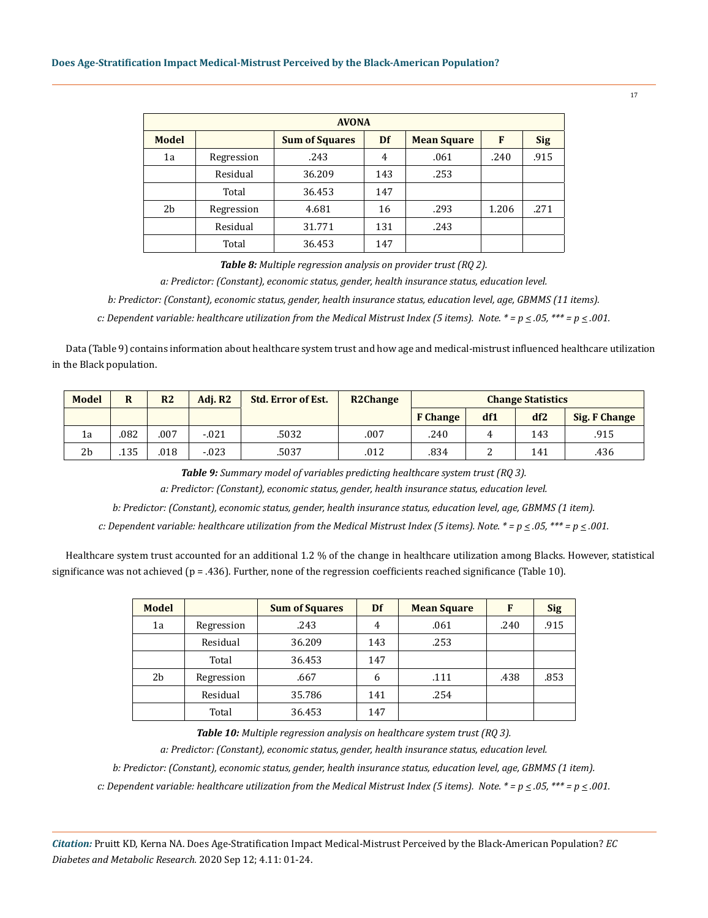# **Does Age-Stratification Impact Medical-Mistrust Perceived by the Black-American Population?**

| <b>AVONA</b> |            |                       |                |                    |       |            |  |  |  |  |  |
|--------------|------------|-----------------------|----------------|--------------------|-------|------------|--|--|--|--|--|
| <b>Model</b> |            | <b>Sum of Squares</b> | Df             | <b>Mean Square</b> | F     | <b>Sig</b> |  |  |  |  |  |
| 1a           | Regression | .243                  | $\overline{4}$ | .061               | .240  | .915       |  |  |  |  |  |
|              | Residual   | 36.209                | 143            | .253               |       |            |  |  |  |  |  |
|              | Total      | 36.453                | 147            |                    |       |            |  |  |  |  |  |
| 2b           | Regression | 4.681                 | 16             | .293               | 1.206 | .271       |  |  |  |  |  |
|              | Residual   | 31.771                | 131            | .243               |       |            |  |  |  |  |  |
|              | Total      | 36.453                | 147            |                    |       |            |  |  |  |  |  |

*Table 8: Multiple regression analysis on provider trust (RQ 2).*

*a: Predictor: (Constant), economic status, gender, health insurance status, education level.*

*b: Predictor: (Constant), economic status, gender, health insurance status, education level, age, GBMMS (11 items).*

*c: Dependent variable: healthcare utilization from the Medical Mistrust Index (5 items). Note. \* = p*  $\leq$  *05, \*\*\* = p*  $\leq$  *001.* 

Data (Table 9) contains information about healthcare system trust and how age and medical-mistrust influenced healthcare utilization in the Black population.

| <b>Model</b>   | $\bf R$ | R <sub>2</sub> | Adi. R2  | <b>Std. Error of Est.</b> | <b>R2Change</b> | <b>Change Statistics</b> |     |     |               |
|----------------|---------|----------------|----------|---------------------------|-----------------|--------------------------|-----|-----|---------------|
|                |         |                |          |                           |                 | <b>F</b> Change          | df1 | df2 | Sig. F Change |
| 1a             | 082     | .007           | $-.021$  | .5032                     | .007            | .240                     |     | 143 | .915          |
| 2 <sub>b</sub> | .135    | .018           | $-0.023$ | .5037                     | .012            | .834                     |     | 141 | .436          |

*Table 9: Summary model of variables predicting healthcare system trust (RQ 3).*

*a: Predictor: (Constant), economic status, gender, health insurance status, education level.*

*b: Predictor: (Constant), economic status, gender, health insurance status, education level, age, GBMMS (1 item).*

*c: Dependent variable: healthcare utilization from the Medical Mistrust Index (5 items). Note. \* = p < .05, \*\*\* = p < .001.*

Healthcare system trust accounted for an additional 1.2 % of the change in healthcare utilization among Blacks. However, statistical significance was not achieved ( $p = .436$ ). Further, none of the regression coefficients reached significance (Table 10).

| <b>Model</b> |            | <b>Sum of Squares</b> | Df  | <b>Mean Square</b> | F    | <b>Sig</b> |
|--------------|------------|-----------------------|-----|--------------------|------|------------|
| 1a           | Regression | .243                  | 4   | .061               | .240 | .915       |
|              | Residual   | 36.209                | 143 | .253               |      |            |
|              | Total      | 36.453                | 147 |                    |      |            |
| 2b           | Regression | .667                  | 6   | .111               | .438 | .853       |
|              | Residual   | 35.786                | 141 | .254               |      |            |
|              | Total      | 36.453                | 147 |                    |      |            |

*Table 10: Multiple regression analysis on healthcare system trust (RQ 3).*

*a: Predictor: (Constant), economic status, gender, health insurance status, education level.*

*b: Predictor: (Constant), economic status, gender, health insurance status, education level, age, GBMMS (1 item).*

*c: Dependent variable: healthcare utilization from the Medical Mistrust Index (5 items). Note. \* = p*  $\leq$  *05, \*\*\* = p*  $\leq$  *001.* 

*Citation:* Pruitt KD, Kerna NA. Does Age-Stratification Impact Medical-Mistrust Perceived by the Black-American Population? *EC Diabetes and Metabolic Research.* 2020 Sep 12; 4.11: 01-24.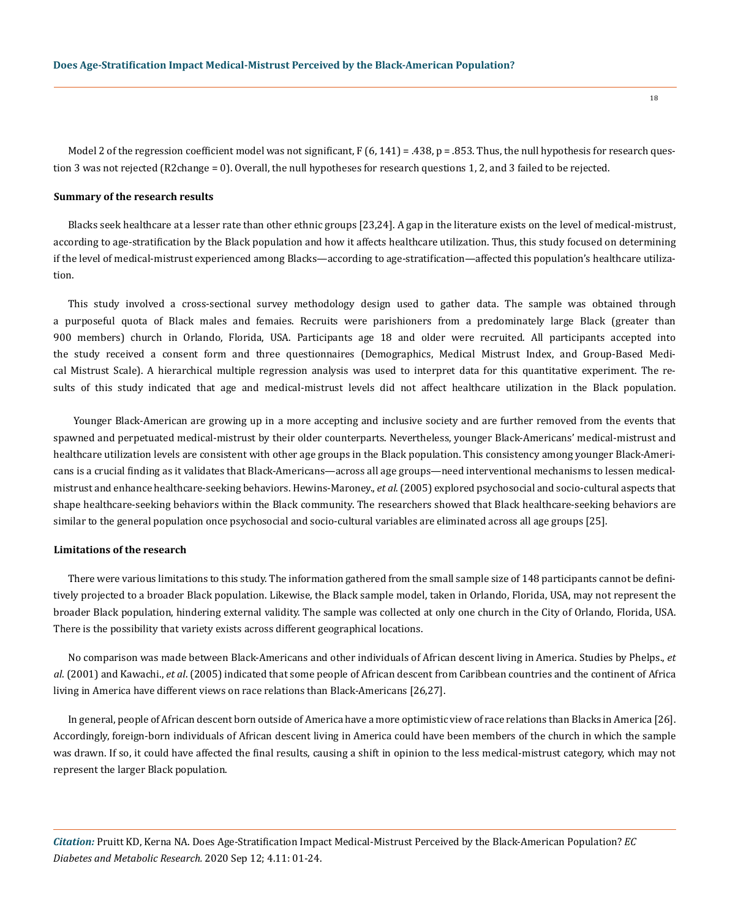Model 2 of the regression coefficient model was not significant,  $F(6, 141) = .438$ ,  $p = .853$ . Thus, the null hypothesis for research question 3 was not rejected (R2change = 0). Overall, the null hypotheses for research questions 1, 2, and 3 failed to be rejected.

#### **Summary of the research results**

Blacks seek healthcare at a lesser rate than other ethnic groups [23,24]. A gap in the literature exists on the level of medical-mistrust, according to age-stratification by the Black population and how it affects healthcare utilization. Thus, this study focused on determining if the level of medical-mistrust experienced among Blacks—according to age-stratification—affected this population's healthcare utilization.

This study involved a cross-sectional survey methodology design used to gather data. The sample was obtained through a purposeful quota of Black males and femaies. Recruits were parishioners from a predominately large Black (greater than 900 members) church in Orlando, Florida, USA. Participants age 18 and older were recruited. All participants accepted into the study received a consent form and three questionnaires (Demographics, Medical Mistrust Index, and Group-Based Medical Mistrust Scale). A hierarchical multiple regression analysis was used to interpret data for this quantitative experiment. The results of this study indicated that age and medical-mistrust levels did not affect healthcare utilization in the Black population.

 Younger Black-American are growing up in a more accepting and inclusive society and are further removed from the events that spawned and perpetuated medical-mistrust by their older counterparts. Nevertheless, younger Black-Americans' medical-mistrust and healthcare utilization levels are consistent with other age groups in the Black population. This consistency among younger Black-Americans is a crucial finding as it validates that Black-Americans—across all age groups—need interventional mechanisms to lessen medicalmistrust and enhance healthcare-seeking behaviors. Hewins-Maroney., *et al*. (2005) explored psychosocial and socio-cultural aspects that shape healthcare-seeking behaviors within the Black community. The researchers showed that Black healthcare-seeking behaviors are similar to the general population once psychosocial and socio-cultural variables are eliminated across all age groups [25].

#### **Limitations of the research**

There were various limitations to this study. The information gathered from the small sample size of 148 participants cannot be definitively projected to a broader Black population. Likewise, the Black sample model, taken in Orlando, Florida, USA, may not represent the broader Black population, hindering external validity. The sample was collected at only one church in the City of Orlando, Florida, USA. There is the possibility that variety exists across different geographical locations.

No comparison was made between Black-Americans and other individuals of African descent living in America. Studies by Phelps., *et al*. (2001) and Kawachi., *et al*. (2005) indicated that some people of African descent from Caribbean countries and the continent of Africa living in America have different views on race relations than Black-Americans [26,27].

In general, people of African descent born outside of America have a more optimistic view of race relations than Blacks in America [26]. Accordingly, foreign-born individuals of African descent living in America could have been members of the church in which the sample was drawn. If so, it could have affected the final results, causing a shift in opinion to the less medical-mistrust category, which may not represent the larger Black population.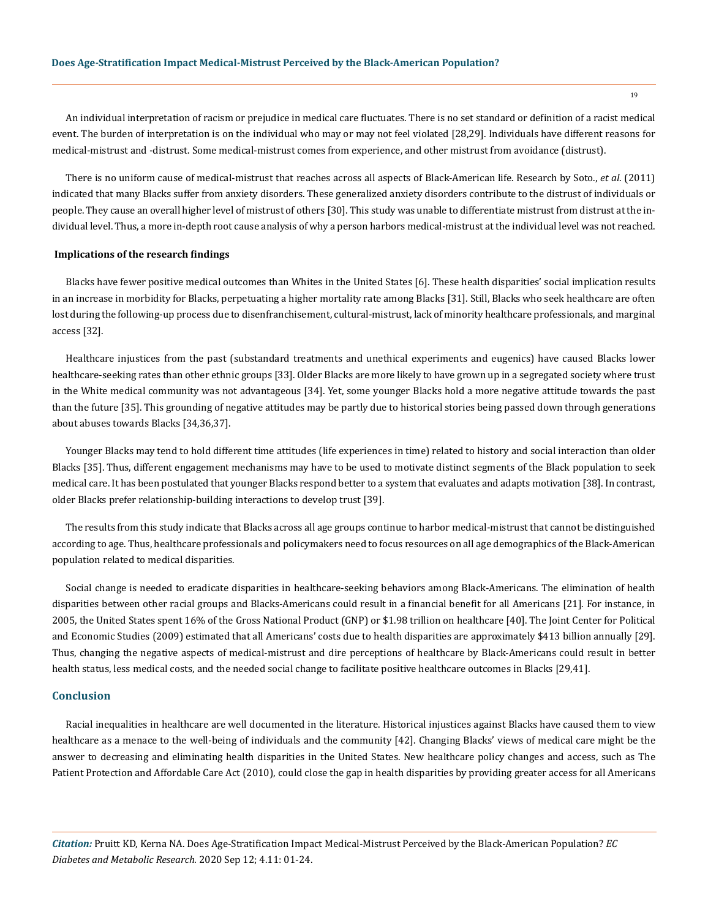An individual interpretation of racism or prejudice in medical care fluctuates. There is no set standard or definition of a racist medical event. The burden of interpretation is on the individual who may or may not feel violated [28,29]. Individuals have different reasons for medical-mistrust and -distrust. Some medical-mistrust comes from experience, and other mistrust from avoidance (distrust).

There is no uniform cause of medical-mistrust that reaches across all aspects of Black-American life. Research by Soto., *et al*. (2011) indicated that many Blacks suffer from anxiety disorders. These generalized anxiety disorders contribute to the distrust of individuals or people. They cause an overall higher level of mistrust of others [30]. This study was unable to differentiate mistrust from distrust at the individual level. Thus, a more in-depth root cause analysis of why a person harbors medical-mistrust at the individual level was not reached.

# **Implications of the research findings**

Blacks have fewer positive medical outcomes than Whites in the United States [6]. These health disparities' social implication results in an increase in morbidity for Blacks, perpetuating a higher mortality rate among Blacks [31]. Still, Blacks who seek healthcare are often lost during the following-up process due to disenfranchisement, cultural-mistrust, lack of minority healthcare professionals, and marginal access [32].

Healthcare injustices from the past (substandard treatments and unethical experiments and eugenics) have caused Blacks lower healthcare-seeking rates than other ethnic groups [33]. Older Blacks are more likely to have grown up in a segregated society where trust in the White medical community was not advantageous [34]. Yet, some younger Blacks hold a more negative attitude towards the past than the future [35]. This grounding of negative attitudes may be partly due to historical stories being passed down through generations about abuses towards Blacks [34,36,37].

Younger Blacks may tend to hold different time attitudes (life experiences in time) related to history and social interaction than older Blacks [35]. Thus, different engagement mechanisms may have to be used to motivate distinct segments of the Black population to seek medical care. It has been postulated that younger Blacks respond better to a system that evaluates and adapts motivation [38]. In contrast, older Blacks prefer relationship-building interactions to develop trust [39].

The results from this study indicate that Blacks across all age groups continue to harbor medical-mistrust that cannot be distinguished according to age. Thus, healthcare professionals and policymakers need to focus resources on all age demographics of the Black-American population related to medical disparities.

Social change is needed to eradicate disparities in healthcare-seeking behaviors among Black-Americans. The elimination of health disparities between other racial groups and Blacks-Americans could result in a financial benefit for all Americans [21]. For instance, in 2005, the United States spent 16% of the Gross National Product (GNP) or \$1.98 trillion on healthcare [40]. The Joint Center for Political and Economic Studies (2009) estimated that all Americans' costs due to health disparities are approximately \$413 billion annually [29]. Thus, changing the negative aspects of medical-mistrust and dire perceptions of healthcare by Black-Americans could result in better health status, less medical costs, and the needed social change to facilitate positive healthcare outcomes in Blacks [29,41].

# **Conclusion**

Racial inequalities in healthcare are well documented in the literature. Historical injustices against Blacks have caused them to view healthcare as a menace to the well-being of individuals and the community [42]. Changing Blacks' views of medical care might be the answer to decreasing and eliminating health disparities in the United States. New healthcare policy changes and access, such as The Patient Protection and Affordable Care Act (2010), could close the gap in health disparities by providing greater access for all Americans

*Citation:* Pruitt KD, Kerna NA. Does Age-Stratification Impact Medical-Mistrust Perceived by the Black-American Population? *EC Diabetes and Metabolic Research.* 2020 Sep 12; 4.11: 01-24.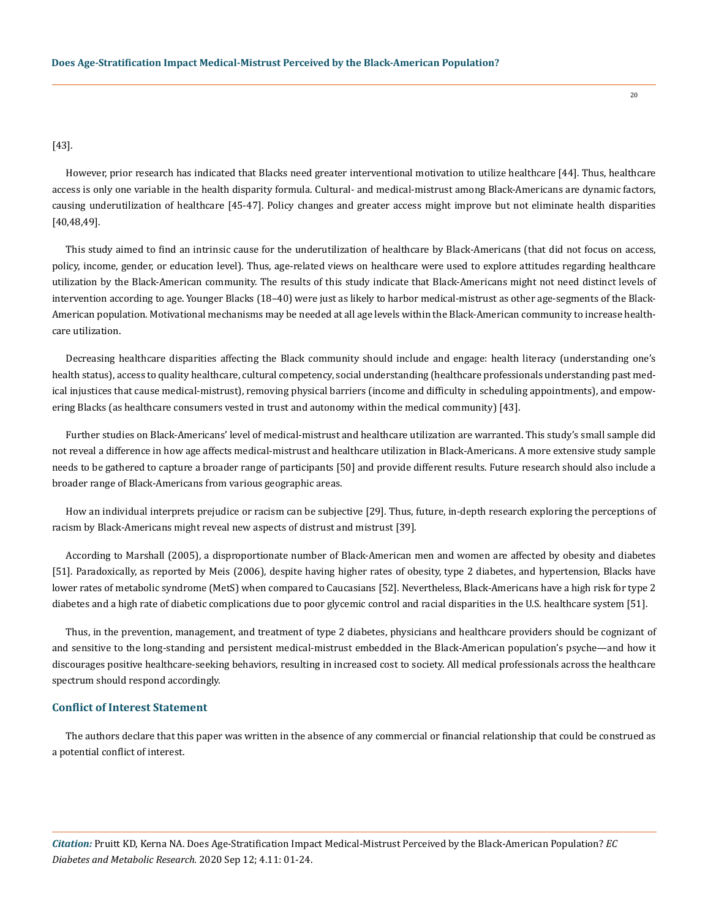[43].

However, prior research has indicated that Blacks need greater interventional motivation to utilize healthcare [44]. Thus, healthcare access is only one variable in the health disparity formula. Cultural- and medical-mistrust among Black-Americans are dynamic factors, causing underutilization of healthcare [45-47]. Policy changes and greater access might improve but not eliminate health disparities [40,48,49].

This study aimed to find an intrinsic cause for the underutilization of healthcare by Black-Americans (that did not focus on access, policy, income, gender, or education level). Thus, age-related views on healthcare were used to explore attitudes regarding healthcare utilization by the Black-American community. The results of this study indicate that Black-Americans might not need distinct levels of intervention according to age. Younger Blacks (18–40) were just as likely to harbor medical-mistrust as other age-segments of the Black-American population. Motivational mechanisms may be needed at all age levels within the Black-American community to increase healthcare utilization.

Decreasing healthcare disparities affecting the Black community should include and engage: health literacy (understanding one's health status), access to quality healthcare, cultural competency, social understanding (healthcare professionals understanding past medical injustices that cause medical-mistrust), removing physical barriers (income and difficulty in scheduling appointments), and empowering Blacks (as healthcare consumers vested in trust and autonomy within the medical community) [43].

Further studies on Black-Americans' level of medical-mistrust and healthcare utilization are warranted. This study's small sample did not reveal a difference in how age affects medical-mistrust and healthcare utilization in Black-Americans. A more extensive study sample needs to be gathered to capture a broader range of participants [50] and provide different results. Future research should also include a broader range of Black-Americans from various geographic areas.

How an individual interprets prejudice or racism can be subjective [29]. Thus, future, in-depth research exploring the perceptions of racism by Black-Americans might reveal new aspects of distrust and mistrust [39].

According to Marshall (2005), a disproportionate number of Black-American men and women are affected by obesity and diabetes [51]. Paradoxically, as reported by Meis (2006), despite having higher rates of obesity, type 2 diabetes, and hypertension, Blacks have lower rates of metabolic syndrome (MetS) when compared to Caucasians [52]. Nevertheless, Black-Americans have a high risk for type 2 diabetes and a high rate of diabetic complications due to poor glycemic control and racial disparities in the U.S. healthcare system [51].

Thus, in the prevention, management, and treatment of type 2 diabetes, physicians and healthcare providers should be cognizant of and sensitive to the long-standing and persistent medical-mistrust embedded in the Black-American population's psyche—and how it discourages positive healthcare-seeking behaviors, resulting in increased cost to society. All medical professionals across the healthcare spectrum should respond accordingly.

# **Conflict of Interest Statement**

The authors declare that this paper was written in the absence of any commercial or financial relationship that could be construed as a potential conflict of interest.

*Citation:* Pruitt KD, Kerna NA. Does Age-Stratification Impact Medical-Mistrust Perceived by the Black-American Population? *EC Diabetes and Metabolic Research.* 2020 Sep 12; 4.11: 01-24.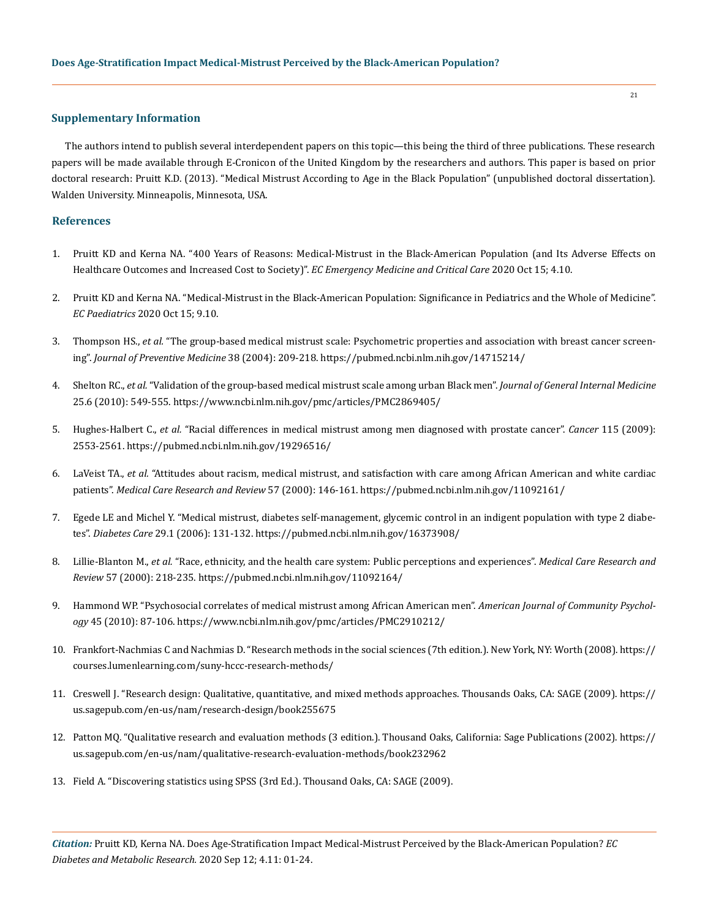# **Supplementary Information**

The authors intend to publish several interdependent papers on this topic—this being the third of three publications. These research papers will be made available through E-Cronicon of the United Kingdom by the researchers and authors. This paper is based on prior doctoral research: Pruitt K.D. (2013). "Medical Mistrust According to Age in the Black Population" (unpublished doctoral dissertation). Walden University. Minneapolis, Minnesota, USA.

# **References**

- 1. Pruitt KD and Kerna NA. "400 Years of Reasons: Medical-Mistrust in the Black-American Population (and Its Adverse Effects on Healthcare Outcomes and Increased Cost to Society)". *EC Emergency Medicine and Critical Care* 2020 Oct 15; 4.10.
- 2. Pruitt KD and Kerna NA. "Medical-Mistrust in the Black-American Population: Significance in Pediatrics and the Whole of Medicine". *EC Paediatrics* 2020 Oct 15; 9.10.
- 3. Thompson HS., *et al.* ["The group-based medical mistrust scale: Psychometric properties and association with breast cancer screen](https://pubmed.ncbi.nlm.nih.gov/14715214/)ing". *[Journal of Preventive Medicine](https://pubmed.ncbi.nlm.nih.gov/14715214/)* 38 (2004): 209-218. https://pubmed.ncbi.nlm.nih.gov/14715214/
- 4. Shelton RC., *et al.* ["Validation of the group-based medical mistrust scale among urban Black men".](https://www.ncbi.nlm.nih.gov/pmc/articles/PMC2869405/) *Journal of General Internal Medicine* [25.6 \(2010\): 549-555.](https://www.ncbi.nlm.nih.gov/pmc/articles/PMC2869405/) https://www.ncbi.nlm.nih.gov/pmc/articles/PMC2869405/
- 5. Hughes-Halbert C., *et al.* ["Racial differences in medical mistrust among men diagnosed with prostate cancer".](https://pubmed.ncbi.nlm.nih.gov/19296516/) *Cancer* 115 (2009): [2553-2561.](https://pubmed.ncbi.nlm.nih.gov/19296516/) https://pubmed.ncbi.nlm.nih.gov/19296516/
- 6. LaVeist TA., *et al.* ["Attitudes about racism, medical mistrust, and satisfaction with care among African American and white cardiac](https://pubmed.ncbi.nlm.nih.gov/11092161/) patients". *[Medical Care Research and Review](https://pubmed.ncbi.nlm.nih.gov/11092161/)* 57 (2000): 146-161. https://pubmed.ncbi.nlm.nih.gov/11092161/
- 7. [Egede LE and Michel Y. "Medical mistrust, diabetes self-management, glycemic control in an indigent population with type 2 diabe](https://pubmed.ncbi.nlm.nih.gov/16373908/)tes". *Diabetes Care* [29.1 \(2006\): 131-132.](https://pubmed.ncbi.nlm.nih.gov/16373908/) https://pubmed.ncbi.nlm.nih.gov/16373908/
- 8. Lillie-Blanton M., *et al.* ["Race, ethnicity, and the health care system: Public perceptions and experiences".](https://pubmed.ncbi.nlm.nih.gov/11092164/) *Medical Care Research and Review* [57 \(2000\): 218-235.](https://pubmed.ncbi.nlm.nih.gov/11092164/) https://pubmed.ncbi.nlm.nih.gov/11092164/
- 9. [Hammond WP. "Psychosocial correlates of medical mistrust among African American men".](https://www.ncbi.nlm.nih.gov/pmc/articles/PMC2910212/) *American Journal of Community Psychology* [45 \(2010\): 87-106.](https://www.ncbi.nlm.nih.gov/pmc/articles/PMC2910212/) https://www.ncbi.nlm.nih.gov/pmc/articles/PMC2910212/
- 10. [Frankfort-Nachmias C and Nachmias D. "Research methods in the social sciences \(7th edition.\). New York, NY: Worth \(2008\).](https://courses.lumenlearning.com/suny-hccc-research-methods/) https:// courses.lumenlearning.com/suny-hccc-research-methods/
- 11. [Creswell J. "Research design: Qualitative, quantitative, and mixed methods approaches. Thousands Oaks, CA: SAGE \(2009\).](https://us.sagepub.com/en-us/nam/research-design/book255675) https:// us.sagepub.com/en-us/nam/research-design/book255675
- 12. [Patton MQ. "Qualitative research and evaluation methods \(3 edition.\). Thousand Oaks, California: Sage Publications \(2002\).](https://us.sagepub.com/en-us/nam/qualitative-research-evaluation-methods/book232962) https:// us.sagepub.com/en-us/nam/qualitative-research-evaluation-methods/book232962
- 13. Field A. "Discovering statistics using SPSS (3rd Ed.). Thousand Oaks, CA: SAGE (2009).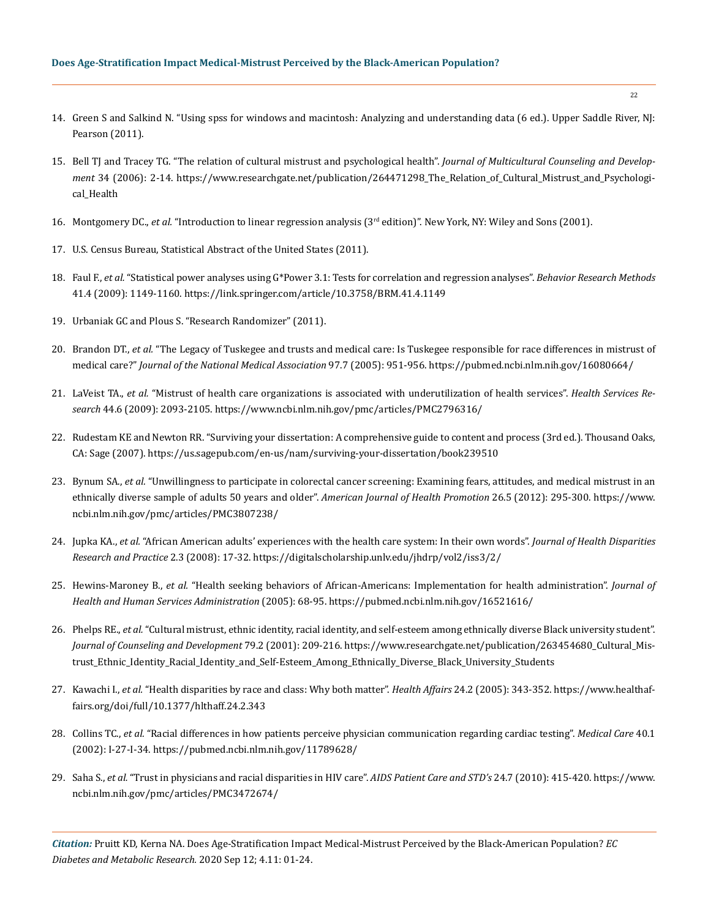- 14. Green S and Salkind N. "Using spss for windows and macintosh: Analyzing and understanding data (6 ed.). Upper Saddle River, NJ: Pearson (2011).
- 15. [Bell TJ and Tracey TG. "The relation of cultural mistrust and psychological health".](https://www.researchgate.net/publication/264471298_The_Relation_of_Cultural_Mistrust_and_Psychological_Health) *Journal of Multicultural Counseling and Develop-*ment [34 \(2006\): 2-14.](https://www.researchgate.net/publication/264471298_The_Relation_of_Cultural_Mistrust_and_Psychological_Health) https://www.researchgate.net/publication/264471298 The Relation of Cultural Mistrust and Psychological\_Health
- 16. Montgomery DC., *et al.* "Introduction to linear regression analysis (3rd edition)". New York, NY: Wiley and Sons (2001).
- 17. U.S. Census Bureau, Statistical Abstract of the United States (2011).
- 18. Faul F., *et al.* ["Statistical power analyses using G\\*Power 3.1: Tests for correlation and regression analyses".](https://link.springer.com/article/10.3758/BRM.41.4.1149) *Behavior Research Methods* [41.4 \(2009\): 1149-1160.](https://link.springer.com/article/10.3758/BRM.41.4.1149) https://link.springer.com/article/10.3758/BRM.41.4.1149
- 19. Urbaniak GC and Plous S. "Research Randomizer" (2011).
- 20. Brandon DT., *et al.* ["The Legacy of Tuskegee and trusts and medical care: Is Tuskegee responsible for race differences in mistrust of](https://pubmed.ncbi.nlm.nih.gov/16080664/)  medical care?" *[Journal of the National Medical Association](https://pubmed.ncbi.nlm.nih.gov/16080664/)* 97.7 (2005): 951-956. https://pubmed.ncbi.nlm.nih.gov/16080664/
- 21. LaVeist TA., *et al.* ["Mistrust of health care organizations is associated with underutilization of health services".](https://www.ncbi.nlm.nih.gov/pmc/articles/PMC2796316/) *Health Services Research* [44.6 \(2009\): 2093-2105.](https://www.ncbi.nlm.nih.gov/pmc/articles/PMC2796316/) https://www.ncbi.nlm.nih.gov/pmc/articles/PMC2796316/
- 22. [Rudestam KE and Newton RR. "Surviving your dissertation: A comprehensive guide to content and process \(3rd ed.\). Thousand Oaks,](https://us.sagepub.com/en-us/nam/surviving-your-dissertation/book239510)  [CA: Sage \(2007\).](https://us.sagepub.com/en-us/nam/surviving-your-dissertation/book239510) https://us.sagepub.com/en-us/nam/surviving-your-dissertation/book239510
- 23. Bynum SA., *et al.* ["Unwillingness to participate in colorectal cancer screening: Examining fears, attitudes, and medical mistrust in an](https://www.ncbi.nlm.nih.gov/pmc/articles/PMC3807238/)  [ethnically diverse sample of adults 50 years and older".](https://www.ncbi.nlm.nih.gov/pmc/articles/PMC3807238/) *American Journal of Health Promotion* 26.5 (2012): 295-300. https://www. ncbi.nlm.nih.gov/pmc/articles/PMC3807238/
- 24. Jupka KA., *et al.* ["African American adults' experiences with the health care system: In their own words".](https://digitalscholarship.unlv.edu/jhdrp/vol2/iss3/2/) *Journal of Health Disparities [Research and Practice](https://digitalscholarship.unlv.edu/jhdrp/vol2/iss3/2/)* 2.3 (2008): 17-32. https://digitalscholarship.unlv.edu/jhdrp/vol2/iss3/2/
- 25. Hewins-Maroney B., *et al.* ["Health seeking behaviors of African-Americans: Implementation for health administration".](https://pubmed.ncbi.nlm.nih.gov/16521616/) *Journal of [Health and Human Services Administration](https://pubmed.ncbi.nlm.nih.gov/16521616/)* (2005): 68-95. https://pubmed.ncbi.nlm.nih.gov/16521616/
- 26. Phelps RE., *et al.* ["Cultural mistrust, ethnic identity, racial identity, and self-esteem among ethnically diverse Black university student".](https://www.researchgate.net/publication/263454680_Cultural_Mistrust_Ethnic_Identity_Racial_Identity_and_Self-Esteem_Among_Ethnically_Diverse_Black_University_Students)  *[Journal of Counseling and Development](https://www.researchgate.net/publication/263454680_Cultural_Mistrust_Ethnic_Identity_Racial_Identity_and_Self-Esteem_Among_Ethnically_Diverse_Black_University_Students)* 79.2 (2001): 209-216. https://www.researchgate.net/publication/263454680\_Cultural\_Mistrust\_Ethnic\_Identity\_Racial\_Identity\_and\_Self-Esteem\_Among\_Ethnically\_Diverse\_Black\_University\_Students
- 27. Kawachi I., *et al.* ["Health disparities by race and class: Why both matter".](https://www.healthaffairs.org/doi/full/10.1377/hlthaff.24.2.343) *Health Affairs* 24.2 (2005): 343-352. https://www.healthaffairs.org/doi/full/10.1377/hlthaff.24.2.343
- 28. Collins TC., *et al.* ["Racial differences in how patients perceive physician communication regarding cardiac testing".](https://pubmed.ncbi.nlm.nih.gov/11789628/) *Medical Care* 40.1 [\(2002\): I-27-I-34.](https://pubmed.ncbi.nlm.nih.gov/11789628/) https://pubmed.ncbi.nlm.nih.gov/11789628/
- 29. Saha S., *et al.* ["Trust in physicians and racial disparities in HIV care".](https://www.ncbi.nlm.nih.gov/pmc/articles/PMC3472674/) *AIDS Patient Care and STD's* 24.7 (2010): 415-420. https://www. ncbi.nlm.nih.gov/pmc/articles/PMC3472674/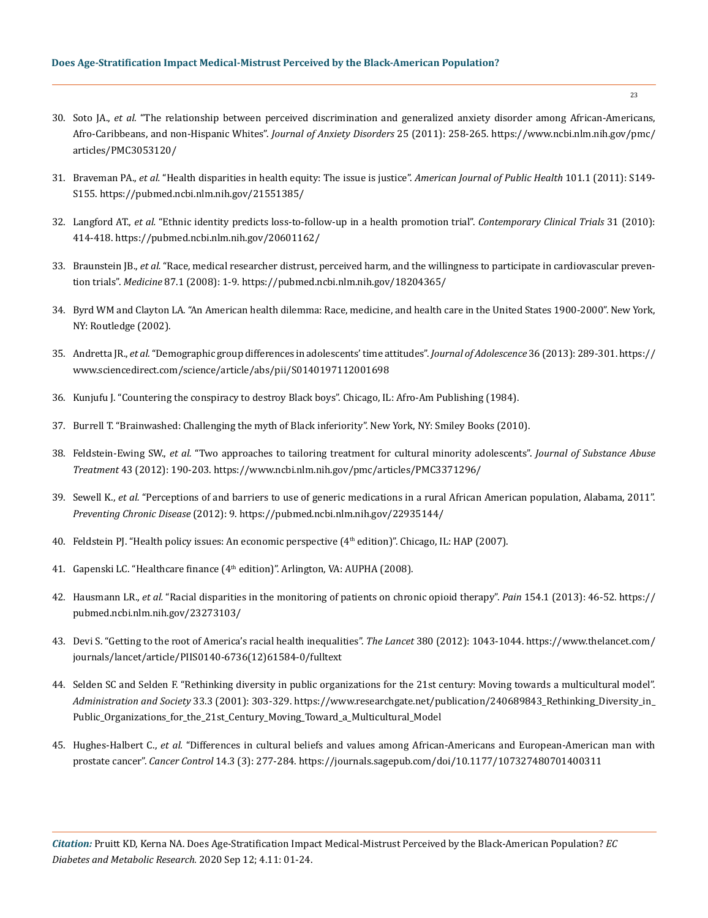- 30. Soto JA., *et al.* ["The relationship between perceived discrimination and generalized anxiety disorder among African-Americans,](https://www.ncbi.nlm.nih.gov/pmc/articles/PMC3053120/)  [Afro-Caribbeans, and non-Hispanic Whites".](https://www.ncbi.nlm.nih.gov/pmc/articles/PMC3053120/) *Journal of Anxiety Disorders* 25 (2011): 258-265. https://www.ncbi.nlm.nih.gov/pmc/ articles/PMC3053120/
- 31. Braveman PA., *et al.* ["Health disparities in health equity: The issue is justice".](https://pubmed.ncbi.nlm.nih.gov/21551385/) *American Journal of Public Health* 101.1 (2011): S149- [S155.](https://pubmed.ncbi.nlm.nih.gov/21551385/) https://pubmed.ncbi.nlm.nih.gov/21551385/
- 32. Langford AT., *et al.* ["Ethnic identity predicts loss-to-follow-up in a health promotion trial".](https://pubmed.ncbi.nlm.nih.gov/20601162/) *Contemporary Clinical Trials* 31 (2010): [414-418.](https://pubmed.ncbi.nlm.nih.gov/20601162/) https://pubmed.ncbi.nlm.nih.gov/20601162/
- 33. Braunstein JB., *et al.* ["Race, medical researcher distrust, perceived harm, and the willingness to participate in cardiovascular preven](https://pubmed.ncbi.nlm.nih.gov/18204365/)tion trials". *Medicine* [87.1 \(2008\): 1-9.](https://pubmed.ncbi.nlm.nih.gov/18204365/) https://pubmed.ncbi.nlm.nih.gov/18204365/
- 34. Byrd WM and Clayton LA. "An American health dilemma: Race, medicine, and health care in the United States 1900-2000". New York, NY: Routledge (2002).
- 35. Andretta JR., *et al.* ["Demographic group differences in adolescents' time attitudes".](https://www.sciencedirect.com/science/article/abs/pii/S0140197112001698) *Journal of Adolescence* 36 (2013): 289-301. https:// www.sciencedirect.com/science/article/abs/pii/S0140197112001698
- 36. Kunjufu J. "Countering the conspiracy to destroy Black boys". Chicago, IL: Afro-Am Publishing (1984).
- 37. Burrell T. "Brainwashed: Challenging the myth of Black inferiority". New York, NY: Smiley Books (2010).
- 38. Feldstein-Ewing SW., *et al.* ["Two approaches to tailoring treatment for cultural minority adolescents".](https://www.ncbi.nlm.nih.gov/pmc/articles/PMC3371296/) *Journal of Substance Abuse Treatment* [43 \(2012\): 190-203.](https://www.ncbi.nlm.nih.gov/pmc/articles/PMC3371296/) https://www.ncbi.nlm.nih.gov/pmc/articles/PMC3371296/
- 39. Sewell K., *et al.* ["Perceptions of and barriers to use of generic medications in a rural African American population, Alabama, 2011".](https://pubmed.ncbi.nlm.nih.gov/22935144/)  *[Preventing Chronic Disease](https://pubmed.ncbi.nlm.nih.gov/22935144/)* (2012): 9. https://pubmed.ncbi.nlm.nih.gov/22935144/
- 40. Feldstein PJ. "Health policy issues: An economic perspective (4th edition)". Chicago, IL: HAP (2007).
- 41. Gapenski LC. "Healthcare finance (4<sup>th</sup> edition)". Arlington, VA: AUPHA (2008).
- 42. Hausmann LR., *et al.* ["Racial disparities in the monitoring of patients on chronic opioid therapy".](https://pubmed.ncbi.nlm.nih.gov/23273103/) *Pain* 154.1 (2013): 46-52. https:// pubmed.ncbi.nlm.nih.gov/23273103/
- 43. [Devi S. "Getting to the root of America's racial health inequalities".](https://www.thelancet.com/journals/lancet/article/PIIS0140-6736(12)61584-0/fulltext) *The Lancet* 380 (2012): 1043-1044. https://www.thelancet.com/ journals/lancet/article/PIIS0140-6736(12)61584-0/fulltext
- 44. [Selden SC and Selden F. "Rethinking diversity in public organizations for the 21st century: Moving towards a multicultural model".](https://www.researchgate.net/publication/240689843_Rethinking_Diversity_in_Public_Organizations_for_the_21st_Century_Moving_Toward_a_Multicultural_Model)  *[Administration and Society](https://www.researchgate.net/publication/240689843_Rethinking_Diversity_in_Public_Organizations_for_the_21st_Century_Moving_Toward_a_Multicultural_Model)* 33.3 (2001): 303-329. https://www.researchgate.net/publication/240689843\_Rethinking\_Diversity\_in\_ Public\_Organizations\_for\_the\_21st\_Century\_Moving\_Toward\_a\_Multicultural\_Model
- 45. Hughes-Halbert C., *et al.* ["Differences in cultural beliefs and values among African-Americans and European-American man with](https://journals.sagepub.com/doi/10.1177/107327480701400311)  prostate cancer". *Cancer Control* [14.3 \(3\): 277-284.](https://journals.sagepub.com/doi/10.1177/107327480701400311) https://journals.sagepub.com/doi/10.1177/107327480701400311